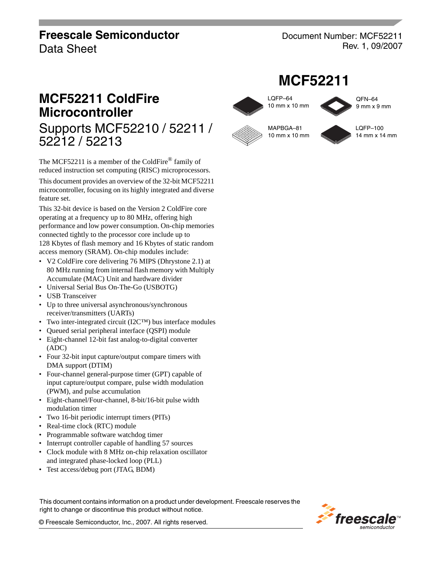# **Freescale Semiconductor**

Data Sheet

52212 / 52213

Document Number: MCF52211 Rev. 1, 09/2007

**MCF52211**

LQFP–64 10 mm x 10 mm

MAPBGA–81 10 mm x 10 mm

# **MCF52211 ColdFire Microcontroller** Supports MCF52210 / 52211 /

The MCF52211 is a member of the ColdFire<sup>®</sup> family of reduced instruction set computing (RISC) microprocessors.

This document provides an overview of the 32-bit MCF52211 microcontroller, focusing on its highly integrated and diverse feature set.

This 32-bit device is based on the Version 2 ColdFire core operating at a frequency up to 80 MHz, offering high performance and low power consumption. On-chip memories connected tightly to the processor core include up to 128 Kbytes of flash memory and 16 Kbytes of static random access memory (SRAM). On-chip modules include:

- V2 ColdFire core delivering 76 MIPS (Dhrystone 2.1) at 80 MHz running from internal flash memory with Multiply Accumulate (MAC) Unit and hardware divider
- Universal Serial Bus On-The-Go (USBOTG)
- USB Transceiver
- Up to three universal asynchronous/synchronous receiver/transmitters (UARTs)
- Two inter-integrated circuit (I2C™) bus interface modules
- Queued serial peripheral interface (QSPI) module
- Eight-channel 12-bit fast analog-to-digital converter (ADC)
- Four 32-bit input capture/output compare timers with DMA support (DTIM)
- Four-channel general-purpose timer (GPT) capable of input capture/output compare, pulse width modulation (PWM), and pulse accumulation
- Eight-channel/Four-channel, 8-bit/16-bit pulse width modulation timer
- Two 16-bit periodic interrupt timers (PITs)
- Real-time clock (RTC) module
- Programmable software watchdog timer
- Interrupt controller capable of handling 57 sources
- Clock module with 8 MHz on-chip relaxation oscillator and integrated phase-locked loop (PLL)
- Test access/debug port (JTAG, BDM)

This document contains information on a product under development. Freescale reserves the right to change or discontinue this product without notice.

LQFP–100 14 mm x 14 mm

QFN–64 9 mm x 9 mm



© Freescale Semiconductor, Inc., 2007. All rights reserved.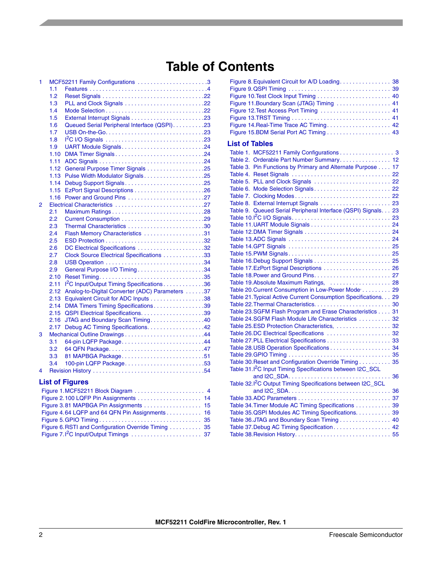# **Table of Contents**

| 1 |      | MCF52211 Family Configurations 3                       |
|---|------|--------------------------------------------------------|
|   | 1.1  |                                                        |
|   | 1.2  |                                                        |
|   | 1.3  |                                                        |
|   | 1.4  |                                                        |
|   | 1.5  |                                                        |
|   | 1.6  | Queued Serial Peripheral Interface (QSPI). 23          |
|   | 1.7  |                                                        |
|   | 1.8  |                                                        |
|   | 1.9  | UART Module Signals24                                  |
|   | 1.10 | DMA Timer Signals24                                    |
|   | 1.11 |                                                        |
|   | 1.12 | General Purpose Timer Signals 25                       |
|   | 1.13 | Pulse Width Modulator Signals25                        |
|   | 1.14 | Debug Support Signals25                                |
|   | 1.15 |                                                        |
|   | 1.16 |                                                        |
| 2 |      |                                                        |
|   | 2.1  |                                                        |
|   | 2.2  |                                                        |
|   | 2.3  | Thermal Characteristics 30                             |
|   | 2.4  | Flash Memory Characteristics 31                        |
|   | 2.5  |                                                        |
|   | 2.6  | DC Electrical Specifications 32                        |
|   | 2.7  | Clock Source Electrical Specifications 33              |
|   | 2.8  |                                                        |
|   | 2.9  | General Purpose I/O Timing34                           |
|   | 2.10 |                                                        |
|   | 2.11 | <sup>12</sup> C Input/Output Timing Specifications 36  |
|   | 2.12 | Analog-to-Digital Converter (ADC) Parameters 37        |
|   | 2.13 |                                                        |
|   | 2.14 | DMA Timers Timing Specifications39                     |
|   | 2.15 |                                                        |
|   | 2.16 | JTAG and Boundary Scan Timing40                        |
|   | 2.17 | Debug AC Timing Specifications. 42                     |
| 3 |      |                                                        |
|   | 3.1  | 64-pin LQFP Package44                                  |
|   | 3.2  |                                                        |
|   | 3.3  | 81 MAPBGA Package51                                    |
|   | 3.4  | 100-pin LQFP Package53                                 |
| 4 |      |                                                        |
|   |      |                                                        |
|   |      | <b>List of Figures</b>                                 |
|   |      | Figure 1.MCF52211 Block Diagram  4                     |
|   |      | Figure 2.100 LQFP Pin Assignments<br>14                |
|   |      |                                                        |
|   |      | Figure 4.64 LQFP and 64 QFN Pin Assignments 16         |
|   |      |                                                        |
|   |      | Figure 6. RSTI and Configuration Override Timing<br>35 |

[Figure 7.I](#page-36-1)2C Input/Output Timings . . . . . . . . . . . . . . . . . . . . . . 37

| Figure 11. Boundary Scan (JTAG) Timing  41                             |    |
|------------------------------------------------------------------------|----|
| Figure 12. Test Access Port Timing  41                                 |    |
|                                                                        |    |
| Figure 14. Real-Time Trace AC Timing 42                                |    |
|                                                                        |    |
|                                                                        |    |
| <b>List of Tables</b>                                                  |    |
| Table 1. MCF52211 Family Configurations 3                              |    |
| Table 2. Orderable Part Number Summary 12                              |    |
| Table 3. Pin Functions by Primary and Alternate Purpose 17             |    |
|                                                                        |    |
| Table 5. PLL and Clock Signals  22                                     |    |
| Table 6. Mode Selection Signals 22                                     |    |
|                                                                        |    |
| Table 8. External Interrupt Signals  23                                |    |
| Table 9. Queued Serial Peripheral Interface (QSPI) Signals. 23         |    |
|                                                                        |    |
|                                                                        |    |
|                                                                        |    |
|                                                                        |    |
|                                                                        |    |
|                                                                        |    |
|                                                                        |    |
| Table 17.EzPort Signal Descriptions  26                                |    |
|                                                                        |    |
| Table 19. Absolute Maximum Ratings,  28                                |    |
| Table 20. Current Consumption in Low-Power Mode 29                     |    |
| Table 21. Typical Active Current Consumption Specifications. 29        |    |
|                                                                        |    |
|                                                                        |    |
| Table 23.SGFM Flash Program and Erase Characteristics 31               |    |
| Table 24. SGFM Flash Module Life Characteristics 32                    |    |
| Table 25.ESD Protection Characteristics,  32                           |    |
| Table 26.DC Electrical Specifications  32                              |    |
|                                                                        |    |
|                                                                        |    |
|                                                                        |    |
| Table 30. Reset and Configuration Override Timing 35                   |    |
| Table 31.1 <sup>2</sup> C Input Timing Specifications between I2C_SCL  |    |
|                                                                        | 36 |
| Table 32.1 <sup>2</sup> C Output Timing Specifications between I2C_SCL |    |
|                                                                        |    |
|                                                                        |    |
| Table 34. Timer Module AC Timing Specifications 39                     |    |
| Table 35.QSPI Modules AC Timing Specifications. 39                     |    |
| Table 36.JTAG and Boundary Scan Timing 40                              |    |
| Table 37. Debug AC Timing Specification 42                             |    |
|                                                                        |    |
|                                                                        |    |

[Figure 8.Equivalent Circuit for A/D Loading. . . . . . . . . . . . . . . . 38](#page-37-1)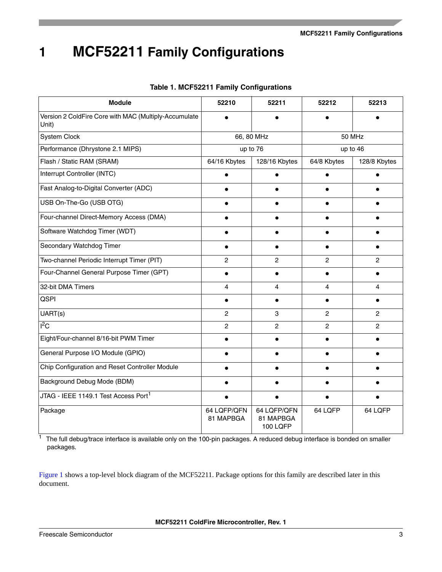<span id="page-2-1"></span><span id="page-2-0"></span>

| <b>Module</b>                                                  | 52210                    | 52211                                | 52212          | 52213          |
|----------------------------------------------------------------|--------------------------|--------------------------------------|----------------|----------------|
| Version 2 ColdFire Core with MAC (Multiply-Accumulate<br>Unit) |                          |                                      |                |                |
| System Clock                                                   |                          | 66, 80 MHz                           |                | 50 MHz         |
| Performance (Dhrystone 2.1 MIPS)                               |                          | up to 76                             |                | up to 46       |
| Flash / Static RAM (SRAM)                                      | 64/16 Kbytes             | 128/16 Kbytes                        | 64/8 Kbytes    | 128/8 Kbytes   |
| Interrupt Controller (INTC)                                    |                          |                                      |                |                |
| Fast Analog-to-Digital Converter (ADC)                         |                          |                                      |                |                |
| USB On-The-Go (USB OTG)                                        |                          |                                      |                |                |
| Four-channel Direct-Memory Access (DMA)                        |                          |                                      |                |                |
| Software Watchdog Timer (WDT)                                  | $\bullet$                |                                      | $\bullet$      |                |
| Secondary Watchdog Timer                                       | $\bullet$                |                                      |                |                |
| Two-channel Periodic Interrupt Timer (PIT)                     | $\mathbf{2}$             | $\overline{c}$                       | $\overline{2}$ | $\overline{c}$ |
| Four-Channel General Purpose Timer (GPT)                       | $\bullet$                |                                      |                |                |
| 32-bit DMA Timers                                              | $\overline{4}$           | 4                                    | 4              | 4              |
| <b>QSPI</b>                                                    | $\bullet$                | $\bullet$                            | $\bullet$      | $\bullet$      |
| UART(s)                                                        | $\mathbf{2}$             | 3                                    | $\overline{2}$ | $\overline{c}$ |
| $I^2C$                                                         | $\mathbf{2}$             | $\overline{c}$                       | $\overline{c}$ | $\overline{2}$ |
| Eight/Four-channel 8/16-bit PWM Timer                          |                          |                                      |                |                |
| General Purpose I/O Module (GPIO)                              |                          |                                      |                |                |
| Chip Configuration and Reset Controller Module                 |                          |                                      |                |                |
| Background Debug Mode (BDM)                                    |                          |                                      |                |                |
| JTAG - IEEE 1149.1 Test Access Port1                           |                          |                                      |                |                |
| Package                                                        | 64 LQFP/QFN<br>81 MAPBGA | 64 LQFP/QFN<br>81 MAPBGA<br>100 LQFP | 64 LQFP        | 64 LQFP        |

### **Table 1. MCF52211 Family Configurations**

 $\frac{1}{1}$  The full debug/trace interface is available only on the 100-pin packages. A reduced debug interface is bonded on smaller packages.

[Figure 1](#page-3-1) shows a top-level block diagram of the MCF52211. Package options for this family are described later in this document.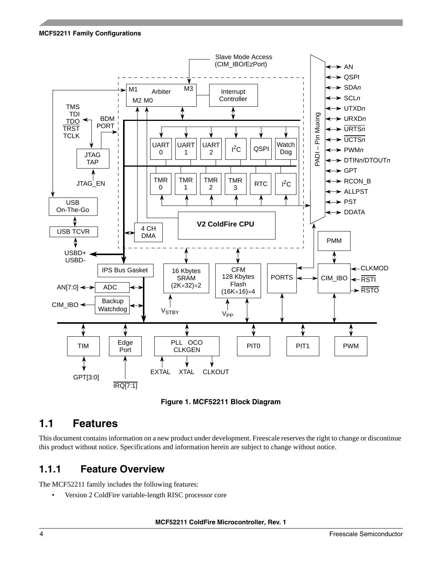



### <span id="page-3-1"></span><span id="page-3-0"></span>**1.1 Features**

This document contains information on a new product under development. Freescale reserves the right to change or discontinue this product without notice. Specifications and information herein are subject to change without notice.

### **1.1.1 Feature Overview**

The MCF52211 family includes the following features:

• Version 2 ColdFire variable-length RISC processor core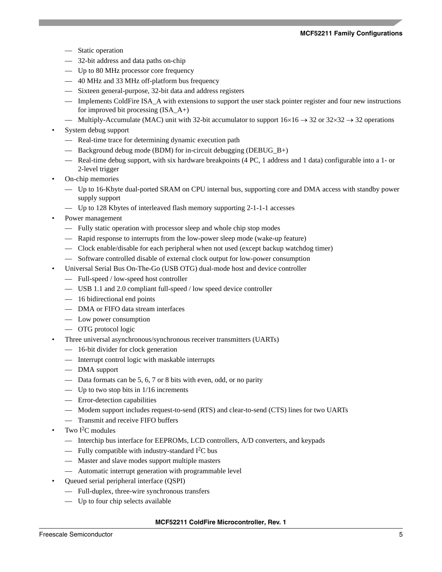- Static operation
- 32-bit address and data paths on-chip
- Up to 80 MHz processor core frequency
- 40 MHz and 33 MHz off-platform bus frequency
- Sixteen general-purpose, 32-bit data and address registers
- Implements ColdFire ISA\_A with extensions to support the user stack pointer register and four new instructions for improved bit processing (ISA\_A+)
- Multiply-Accumulate (MAC) unit with 32-bit accumulator to support  $16\times16 \rightarrow 32$  or  $32\times32 \rightarrow 32$  operations
- System debug support
	- Real-time trace for determining dynamic execution path
	- Background debug mode (BDM) for in-circuit debugging (DEBUG\_B+)
	- Real-time debug support, with six hardware breakpoints (4 PC, 1 address and 1 data) configurable into a 1- or 2-level trigger
- On-chip memories
	- Up to 16-Kbyte dual-ported SRAM on CPU internal bus, supporting core and DMA access with standby power supply support
	- Up to 128 Kbytes of interleaved flash memory supporting 2-1-1-1 accesses
- Power management
	- Fully static operation with processor sleep and whole chip stop modes
	- Rapid response to interrupts from the low-power sleep mode (wake-up feature)
	- Clock enable/disable for each peripheral when not used (except backup watchdog timer)
	- Software controlled disable of external clock output for low-power consumption
- Universal Serial Bus On-The-Go (USB OTG) dual-mode host and device controller
	- Full-speed / low-speed host controller
	- USB 1.1 and 2.0 compliant full-speed / low speed device controller
	- 16 bidirectional end points
	- DMA or FIFO data stream interfaces
	- Low power consumption
	- OTG protocol logic
- Three universal asynchronous/synchronous receiver transmitters (UARTs)
	- 16-bit divider for clock generation
	- Interrupt control logic with maskable interrupts
	- DMA support
	- Data formats can be 5, 6, 7 or 8 bits with even, odd, or no parity
	- Up to two stop bits in  $1/16$  increments
	- Error-detection capabilities
	- Modem support includes request-to-send (RTS) and clear-to-send (CTS) lines for two UARTs
	- Transmit and receive FIFO buffers
- Two  $I^2C$  modules
	- Interchip bus interface for EEPROMs, LCD controllers, A/D converters, and keypads
	- Fully compatible with industry-standard  $I<sup>2</sup>C$  bus
	- Master and slave modes support multiple masters
	- Automatic interrupt generation with programmable level
- Queued serial peripheral interface (QSPI)
	- Full-duplex, three-wire synchronous transfers
	- Up to four chip selects available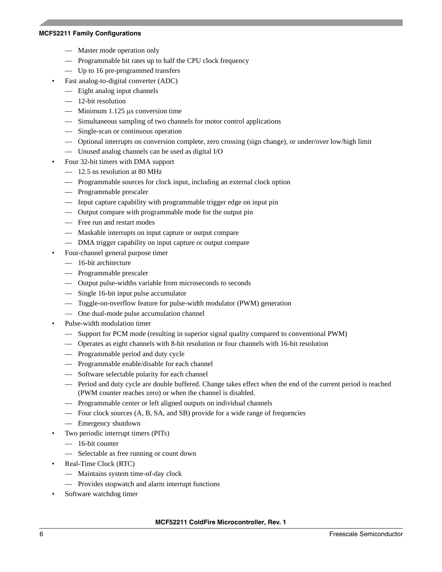- Master mode operation only
- Programmable bit rates up to half the CPU clock frequency
- Up to 16 pre-programmed transfers
- Fast analog-to-digital converter (ADC)
- Eight analog input channels
- 12-bit resolution
- $-$  Minimum 1.125 μs conversion time
- Simultaneous sampling of two channels for motor control applications
- Single-scan or continuous operation
- Optional interrupts on conversion complete, zero crossing (sign change), or under/over low/high limit
- Unused analog channels can be used as digital I/O
- Four 32-bit timers with DMA support
	- 12.5 ns resolution at 80 MHz
	- Programmable sources for clock input, including an external clock option
	- Programmable prescaler
	- Input capture capability with programmable trigger edge on input pin
	- Output compare with programmable mode for the output pin
	- Free run and restart modes
	- Maskable interrupts on input capture or output compare
	- DMA trigger capability on input capture or output compare
- Four-channel general purpose timer
	- 16-bit architecture
	- Programmable prescaler
	- Output pulse-widths variable from microseconds to seconds
	- Single 16-bit input pulse accumulator
	- Toggle-on-overflow feature for pulse-width modulator (PWM) generation
	- One dual-mode pulse accumulation channel
- Pulse-width modulation timer
	- Support for PCM mode (resulting in superior signal quality compared to conventional PWM)
	- Operates as eight channels with 8-bit resolution or four channels with 16-bit resolution
	- Programmable period and duty cycle
	- Programmable enable/disable for each channel
	- Software selectable polarity for each channel
	- Period and duty cycle are double buffered. Change takes effect when the end of the current period is reached (PWM counter reaches zero) or when the channel is disabled.
	- Programmable center or left aligned outputs on individual channels
	- Four clock sources (A, B, SA, and SB) provide for a wide range of frequencies
	- Emergency shutdown
- Two periodic interrupt timers (PITs)
	- 16-bit counter
	- Selectable as free running or count down
- Real-Time Clock (RTC)
	- Maintains system time-of-day clock
	- Provides stopwatch and alarm interrupt functions
- Software watchdog timer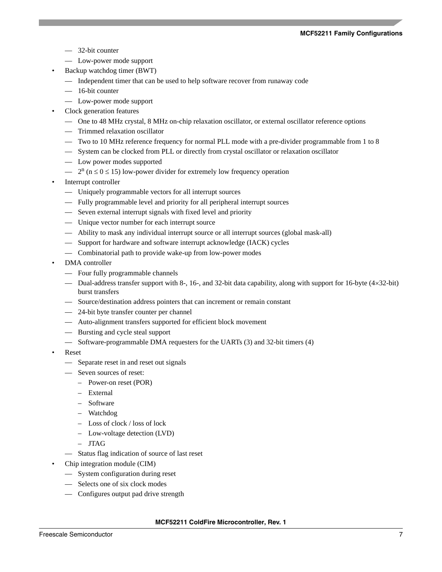- 32-bit counter
- Low-power mode support
- Backup watchdog timer (BWT)
	- Independent timer that can be used to help software recover from runaway code
	- 16-bit counter
	- Low-power mode support
- Clock generation features
	- One to 48 MHz crystal, 8 MHz on-chip relaxation oscillator, or external oscillator reference options
	- Trimmed relaxation oscillator
	- Two to 10 MHz reference frequency for normal PLL mode with a pre-divider programmable from 1 to 8
	- System can be clocked from PLL or directly from crystal oscillator or relaxation oscillator
	- Low power modes supported
	- $-2^{n}$  (n  $\leq$  0  $\leq$  15) low-power divider for extremely low frequency operation
- Interrupt controller
	- Uniquely programmable vectors for all interrupt sources
	- Fully programmable level and priority for all peripheral interrupt sources
	- Seven external interrupt signals with fixed level and priority
	- Unique vector number for each interrupt source
	- Ability to mask any individual interrupt source or all interrupt sources (global mask-all)
	- Support for hardware and software interrupt acknowledge (IACK) cycles
	- Combinatorial path to provide wake-up from low-power modes
- DMA controller
	- Four fully programmable channels
	- Dual-address transfer support with 8-, 16-, and 32-bit data capability, along with support for 16-byte (4×32-bit) burst transfers
	- Source/destination address pointers that can increment or remain constant
	- 24-bit byte transfer counter per channel
	- Auto-alignment transfers supported for efficient block movement
	- Bursting and cycle steal support
	- Software-programmable DMA requesters for the UARTs (3) and 32-bit timers (4)
- Reset
	- Separate reset in and reset out signals
	- Seven sources of reset:
		- Power-on reset (POR)
		- External
		- Software
		- Watchdog
		- Loss of clock / loss of lock
		- Low-voltage detection (LVD)
		- JTAG
	- Status flag indication of source of last reset
- Chip integration module (CIM)
	- System configuration during reset
	- Selects one of six clock modes
	- Configures output pad drive strength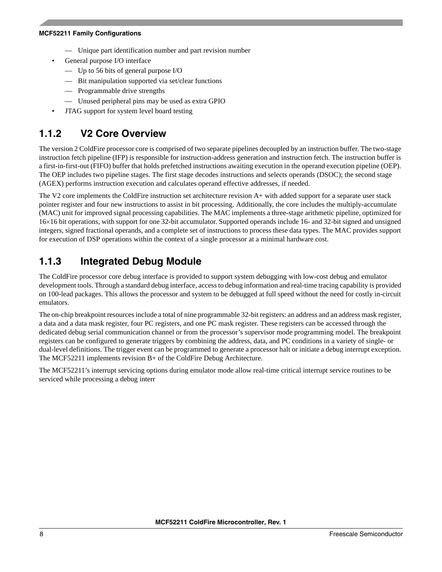- Unique part identification number and part revision number
- General purpose I/O interface
	- Up to 56 bits of general purpose I/O
	- Bit manipulation supported via set/clear functions
	- Programmable drive strengths
	- Unused peripheral pins may be used as extra GPIO
- JTAG support for system level board testing

### **1.1.2 V2 Core Overview**

The version 2 ColdFire processor core is comprised of two separate pipelines decoupled by an instruction buffer. The two-stage instruction fetch pipeline (IFP) is responsible for instruction-address generation and instruction fetch. The instruction buffer is a first-in-first-out (FIFO) buffer that holds prefetched instructions awaiting execution in the operand execution pipeline (OEP). The OEP includes two pipeline stages. The first stage decodes instructions and selects operands (DSOC); the second stage (AGEX) performs instruction execution and calculates operand effective addresses, if needed.

The V2 core implements the ColdFire instruction set architecture revision A+ with added support for a separate user stack pointer register and four new instructions to assist in bit processing. Additionally, the core includes the multiply-accumulate (MAC) unit for improved signal processing capabilities. The MAC implements a three-stage arithmetic pipeline, optimized for 16×16 bit operations, with support for one 32-bit accumulator. Supported operands include 16- and 32-bit signed and unsigned integers, signed fractional operands, and a complete set of instructions to process these data types. The MAC provides support for execution of DSP operations within the context of a single processor at a minimal hardware cost.

### **1.1.3 Integrated Debug Module**

The ColdFire processor core debug interface is provided to support system debugging with low-cost debug and emulator development tools. Through a standard debug interface, access to debug information and real-time tracing capability is provided on 100-lead packages. This allows the processor and system to be debugged at full speed without the need for costly in-circuit emulators.

The on-chip breakpoint resources include a total of nine programmable 32-bit registers: an address and an address mask register, a data and a data mask register, four PC registers, and one PC mask register. These registers can be accessed through the dedicated debug serial communication channel or from the processor's supervisor mode programming model. The breakpoint registers can be configured to generate triggers by combining the address, data, and PC conditions in a variety of single- or dual-level definitions. The trigger event can be programmed to generate a processor halt or initiate a debug interrupt exception. The MCF52211 implements revision B+ of the ColdFire Debug Architecture.

The MCF52211's interrupt servicing options during emulator mode allow real-time critical interrupt service routines to be serviced while processing a debug interr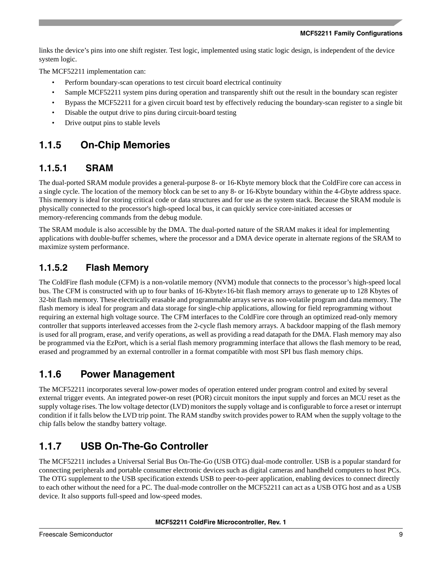links the device's pins into one shift register. Test logic, implemented using static logic design, is independent of the device system logic.

The MCF52211 implementation can:

- Perform boundary-scan operations to test circuit board electrical continuity
- Sample MCF52211 system pins during operation and transparently shift out the result in the boundary scan register
- Bypass the MCF52211 for a given circuit board test by effectively reducing the boundary-scan register to a single bit
- Disable the output drive to pins during circuit-board testing
- Drive output pins to stable levels

### **1.1.5 On-Chip Memories**

### **1.1.5.1 SRAM**

The dual-ported SRAM module provides a general-purpose 8- or 16-Kbyte memory block that the ColdFire core can access in a single cycle. The location of the memory block can be set to any 8- or 16-Kbyte boundary within the 4-Gbyte address space. This memory is ideal for storing critical code or data structures and for use as the system stack. Because the SRAM module is physically connected to the processor's high-speed local bus, it can quickly service core-initiated accesses or memory-referencing commands from the debug module.

The SRAM module is also accessible by the DMA. The dual-ported nature of the SRAM makes it ideal for implementing applications with double-buffer schemes, where the processor and a DMA device operate in alternate regions of the SRAM to maximize system performance.

### **1.1.5.2 Flash Memory**

The ColdFire flash module (CFM) is a non-volatile memory (NVM) module that connects to the processor's high-speed local bus. The CFM is constructed with up to four banks of 16-Kbyte×16-bit flash memory arrays to generate up to 128 Kbytes of 32-bit flash memory. These electrically erasable and programmable arrays serve as non-volatile program and data memory. The flash memory is ideal for program and data storage for single-chip applications, allowing for field reprogramming without requiring an external high voltage source. The CFM interfaces to the ColdFire core through an optimized read-only memory controller that supports interleaved accesses from the 2-cycle flash memory arrays. A backdoor mapping of the flash memory is used for all program, erase, and verify operations, as well as providing a read datapath for the DMA. Flash memory may also be programmed via the EzPort, which is a serial flash memory programming interface that allows the flash memory to be read, erased and programmed by an external controller in a format compatible with most SPI bus flash memory chips.

### **1.1.6 Power Management**

The MCF52211 incorporates several low-power modes of operation entered under program control and exited by several external trigger events. An integrated power-on reset (POR) circuit monitors the input supply and forces an MCU reset as the supply voltage rises. The low voltage detector (LVD) monitors the supply voltage and is configurable to force a reset or interrupt condition if it falls below the LVD trip point. The RAM standby switch provides power to RAM when the supply voltage to the chip falls below the standby battery voltage.

### **1.1.7 USB On-The-Go Controller**

The MCF52211 includes a Universal Serial Bus On-The-Go (USB OTG) dual-mode controller. USB is a popular standard for connecting peripherals and portable consumer electronic devices such as digital cameras and handheld computers to host PCs. The OTG supplement to the USB specification extends USB to peer-to-peer application, enabling devices to connect directly to each other without the need for a PC. The dual-mode controller on the MCF52211 can act as a USB OTG host and as a USB device. It also supports full-speed and low-speed modes.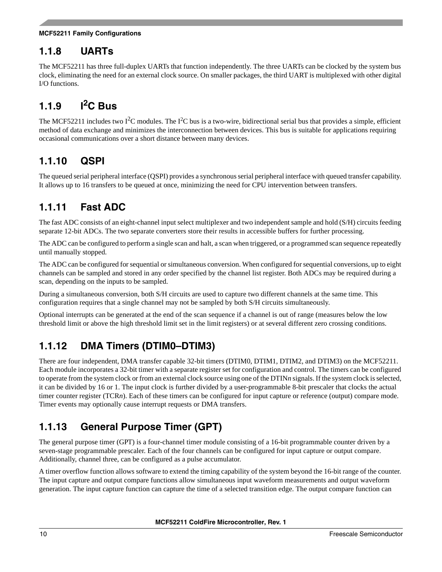### **1.1.8 UARTs**

The MCF52211 has three full-duplex UARTs that function independently. The three UARTs can be clocked by the system bus clock, eliminating the need for an external clock source. On smaller packages, the third UART is multiplexed with other digital I/O functions.

# **1.1.9 I2C Bus**

The MCF52211 includes two  $I^2C$  modules. The  $I^2C$  bus is a two-wire, bidirectional serial bus that provides a simple, efficient method of data exchange and minimizes the interconnection between devices. This bus is suitable for applications requiring occasional communications over a short distance between many devices.

### **1.1.10 QSPI**

The queued serial peripheral interface (QSPI) provides a synchronous serial peripheral interface with queued transfer capability. It allows up to 16 transfers to be queued at once, minimizing the need for CPU intervention between transfers.

### **1.1.11 Fast ADC**

The fast ADC consists of an eight-channel input select multiplexer and two independent sample and hold (S/H) circuits feeding separate 12-bit ADCs. The two separate converters store their results in accessible buffers for further processing.

The ADC can be configured to perform a single scan and halt, a scan when triggered, or a programmed scan sequence repeatedly until manually stopped.

The ADC can be configured for sequential or simultaneous conversion. When configured for sequential conversions, up to eight channels can be sampled and stored in any order specified by the channel list register. Both ADCs may be required during a scan, depending on the inputs to be sampled.

During a simultaneous conversion, both S/H circuits are used to capture two different channels at the same time. This configuration requires that a single channel may not be sampled by both S/H circuits simultaneously.

Optional interrupts can be generated at the end of the scan sequence if a channel is out of range (measures below the low threshold limit or above the high threshold limit set in the limit registers) or at several different zero crossing conditions.

### **1.1.12 DMA Timers (DTIM0–DTIM3)**

There are four independent, DMA transfer capable 32-bit timers (DTIM0, DTIM1, DTIM2, and DTIM3) on the MCF52211. Each module incorporates a 32-bit timer with a separate register set for configuration and control. The timers can be configured to operate from the system clock or from an external clock source using one of the DTIN*n* signals. If the system clock is selected, it can be divided by 16 or 1. The input clock is further divided by a user-programmable 8-bit prescaler that clocks the actual timer counter register (TCR*n*). Each of these timers can be configured for input capture or reference (output) compare mode. Timer events may optionally cause interrupt requests or DMA transfers.

### **1.1.13 General Purpose Timer (GPT)**

The general purpose timer (GPT) is a four-channel timer module consisting of a 16-bit programmable counter driven by a seven-stage programmable prescaler. Each of the four channels can be configured for input capture or output compare. Additionally, channel three, can be configured as a pulse accumulator.

A timer overflow function allows software to extend the timing capability of the system beyond the 16-bit range of the counter. The input capture and output compare functions allow simultaneous input waveform measurements and output waveform generation. The input capture function can capture the time of a selected transition edge. The output compare function can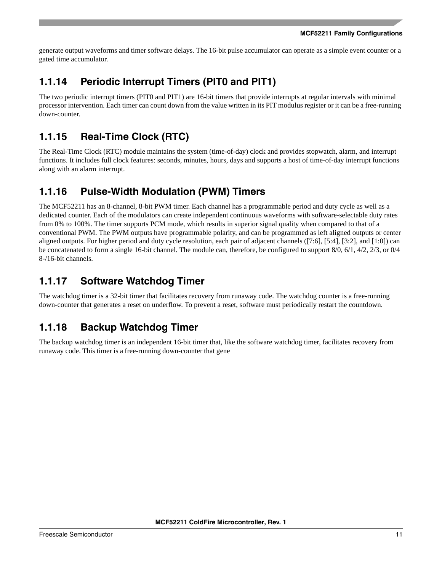generate output waveforms and timer software delays. The 16-bit pulse accumulator can operate as a simple event counter or a gated time accumulator.

### **1.1.14 Periodic Interrupt Timers (PIT0 and PIT1)**

The two periodic interrupt timers (PIT0 and PIT1) are 16-bit timers that provide interrupts at regular intervals with minimal processor intervention. Each timer can count down from the value written in its PIT modulus register or it can be a free-running down-counter.

# **1.1.15 Real-Time Clock (RTC)**

The Real-Time Clock (RTC) module maintains the system (time-of-day) clock and provides stopwatch, alarm, and interrupt functions. It includes full clock features: seconds, minutes, hours, days and supports a host of time-of-day interrupt functions along with an alarm interrupt.

### **1.1.16 Pulse-Width Modulation (PWM) Timers**

The MCF52211 has an 8-channel, 8-bit PWM timer. Each channel has a programmable period and duty cycle as well as a dedicated counter. Each of the modulators can create independent continuous waveforms with software-selectable duty rates from 0% to 100%. The timer supports PCM mode, which results in superior signal quality when compared to that of a conventional PWM. The PWM outputs have programmable polarity, and can be programmed as left aligned outputs or center aligned outputs. For higher period and duty cycle resolution, each pair of adjacent channels ([7:6], [5:4], [3:2], and [1:0]) can be concatenated to form a single 16-bit channel. The module can, therefore, be configured to support 8/0, 6/1, 4/2, 2/3, or 0/4 8-/16-bit channels.

### **1.1.17 Software Watchdog Timer**

The watchdog timer is a 32-bit timer that facilitates recovery from runaway code. The watchdog counter is a free-running down-counter that generates a reset on underflow. To prevent a reset, software must periodically restart the countdown.

### **1.1.18 Backup Watchdog Timer**

The backup watchdog timer is an independent 16-bit timer that, like the software watchdog timer, facilitates recovery from runaway code. This timer is a free-running down-counter that generate(res)-4.8uuend. 7.4(uuen5.36(ter)5endw)63.1(g dend)-4.8(nr-o)-5(o).c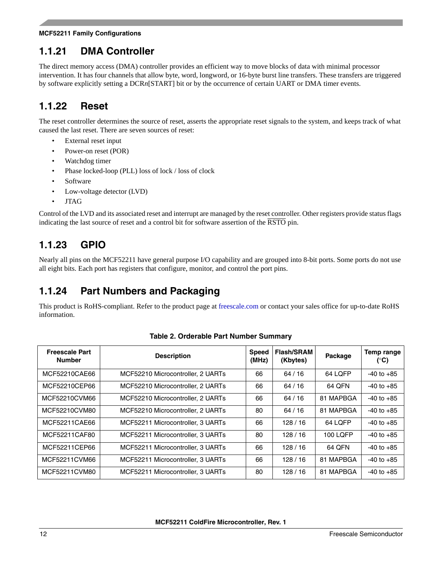### **1.1.21 DMA Controller**

The direct memory access (DMA) controller provides an efficient way to move blocks of data with minimal processor intervention. It has four channels that allow byte, word, longword, or 16-byte burst line transfers. These transfers are triggered by software explicitly setting a DCR*n*[START] bit or by the occurrence of certain UART or DMA timer events.

### **1.1.22 Reset**

The reset controller determines the source of reset, asserts the appropriate reset signals to the system, and keeps track of what caused the last reset. There are seven sources of reset:

- External reset input
- Power-on reset (POR)
- Watchdog timer
- Phase locked-loop (PLL) loss of lock / loss of clock
- **Software**
- Low-voltage detector (LVD)
- JTAG

Control of the LVD and its associated reset and interrupt are managed by the reset controller. Other registers provide status flags indicating the last source of reset and a control bit for software assertion of the RSTO pin.

### **1.1.23 GPIO**

Nearly all pins on the MCF52211 have general purpose I/O capability and are grouped into 8-bit ports. Some ports do not use all eight bits. Each port has registers that configure, monitor, and control the port pins.

### **1.1.24 Part Numbers and Packaging**

This product is RoHS-compliant. Refer to the product page at [freescale.com](http://www.freescale.com) or contact your sales office for up-to-date RoHS information.

<span id="page-11-0"></span>

| <b>Freescale Part</b><br><b>Number</b> | <b>Description</b>                | <b>Speed</b><br>(MHz) | <b>Flash/SRAM</b><br>(Kbytes) | Package   | Temp range<br>$(^{\circ}C)$ |
|----------------------------------------|-----------------------------------|-----------------------|-------------------------------|-----------|-----------------------------|
| MCF52210CAE66                          | MCF52210 Microcontroller, 2 UARTs | 66                    | 64/16                         | 64 LQFP   | $-40$ to $+85$              |
| MCF52210CEP66                          | MCF52210 Microcontroller, 2 UARTs | 66                    | 64/16                         | 64 OFN    | $-40$ to $+85$              |
| MCF52210CVM66                          | MCF52210 Microcontroller, 2 UARTs | 66                    | 64/16                         | 81 MAPBGA | $-40$ to $+85$              |
| MCF52210CVM80                          | MCF52210 Microcontroller, 2 UARTs | 80                    | 64/16                         | 81 MAPBGA | $-40$ to $+85$              |
| MCF52211CAE66                          | MCF52211 Microcontroller, 3 UARTs | 66                    | 128/16                        | 64 LQFP   | $-40$ to $+85$              |
| MCF52211CAF80                          | MCF52211 Microcontroller, 3 UARTs | 80                    | 128/16                        | 100 LOFP  | $-40$ to $+85$              |
| MCF52211CEP66                          | MCF52211 Microcontroller, 3 UARTs | 66                    | 128 / 16                      | 64 OFN    | $-40$ to $+85$              |
| MCF52211CVM66                          | MCF52211 Microcontroller, 3 UARTs | 66                    | 128/16                        | 81 MAPBGA | $-40$ to $+85$              |
| MCF52211CVM80                          | MCF52211 Microcontroller, 3 UARTs | 80                    | 128/16                        | 81 MAPBGA | $-40$ to $+85$              |

### **Table 2. Orderable Part Number Summary**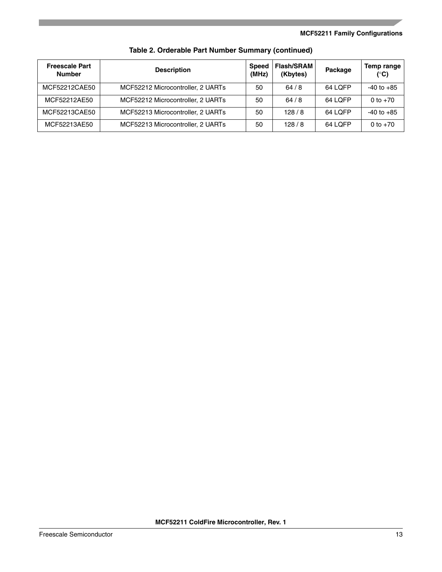| <b>Freescale Part</b><br><b>Number</b> | <b>Description</b>                | <b>Speed</b><br>(MHz) | <b>Flash/SRAM</b><br>(Kbytes) | Package | Temp range<br>$(^\circ \mathsf{C})$ |
|----------------------------------------|-----------------------------------|-----------------------|-------------------------------|---------|-------------------------------------|
| MCF52212CAE50                          | MCF52212 Microcontroller, 2 UARTs | 50                    | 64/8                          | 64 LOFP | $-40$ to $+85$                      |
| MCF52212AE50                           | MCF52212 Microcontroller, 2 UARTs | 50                    | 64/8                          | 64 LOFP | 0 to $+70$                          |
| MCF52213CAE50                          | MCF52213 Microcontroller, 2 UARTs | 50                    | 128/8                         | 64 LOFP | $-40$ to $+85$                      |
| MCF52213AE50                           | MCF52213 Microcontroller, 2 UARTs | 50                    | 128/8                         | 64 LOFP | 0 to $+70$                          |

**Table 2. Orderable Part Number Summary (continued)**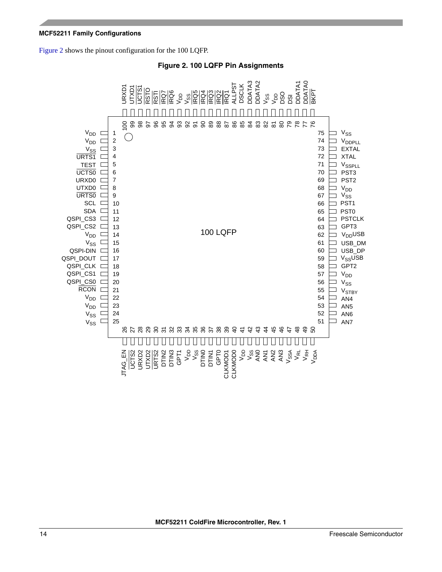<span id="page-13-0"></span>[Figure 2](#page-13-0) shows the pinout configuration for the 100 LQFP.



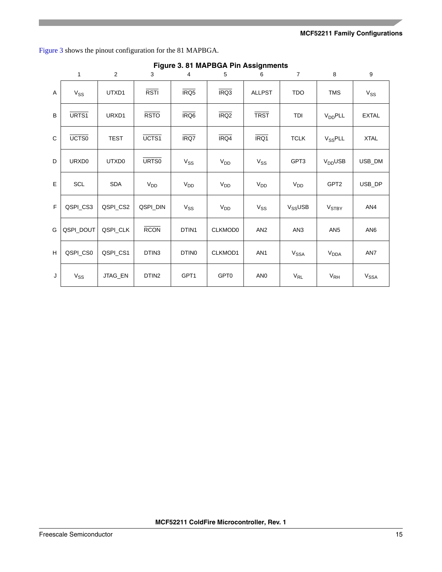[Figure 3](#page-14-0) shows the pinout configuration for the 81 MAPBGA.

<span id="page-14-0"></span>

|             |                   |             |                   |                   | <b>Figure 3. 01 MAPBOA FIII ASSIGNMENTS</b> |                 |                     |                          |                 |
|-------------|-------------------|-------------|-------------------|-------------------|---------------------------------------------|-----------------|---------------------|--------------------------|-----------------|
|             | $\mathbf{1}$      | 2           | 3                 | $\overline{4}$    | 5                                           | 6               | $\overline{7}$      | 8                        | 9               |
| A           | $V_{SS}$          | UTXD1       | <b>RSTI</b>       | IRQ5              | IRQ3                                        | <b>ALLPST</b>   | <b>TDO</b>          | <b>TMS</b>               | $V_{SS}$        |
| B           | URTS1             | URXD1       | <b>RSTO</b>       | IRQ <sub>6</sub>  | IRQ <sub>2</sub>                            | <b>TRST</b>     | TDI                 | <b>V<sub>DD</sub>PLL</b> | <b>EXTAL</b>    |
| $\mathbf C$ | UCTS <sub>0</sub> | <b>TEST</b> | UCTS1             | IRQ7              | IRQ4                                        | IRQ1            | <b>TCLK</b>         | V <sub>SS</sub> PLL      | <b>XTAL</b>     |
| D           | URXD0             | UTXD0       | URT <sub>S0</sub> | $V_{SS}$          | V <sub>DD</sub>                             | $V_{SS}$        | GPT3                | $VDD$ USB                | USB DM          |
| E           | SCL               | <b>SDA</b>  | $V_{DD}$          | $V_{DD}$          | $V_{DD}$                                    | $V_{DD}$        | $V_{DD}$            | GPT <sub>2</sub>         | USB_DP          |
| F           | QSPI_CS3          | QSPI_CS2    | QSPI_DIN          | $V_{SS}$          | $V_{DD}$                                    | $V_{SS}$        | V <sub>SS</sub> USB | <b>V<sub>STBY</sub></b>  | AN4             |
| G           | QSPI_DOUT         | QSPI_CLK    | <b>RCON</b>       | DTIN1             | CLKMOD0                                     | AN <sub>2</sub> | AN <sub>3</sub>     | AN <sub>5</sub>          | AN <sub>6</sub> |
| H           | QSPI_CS0          | QSPI_CS1    | DTIN3             | DTIN <sub>0</sub> | CLKMOD1                                     | AN <sub>1</sub> | V <sub>SSA</sub>    | V <sub>DDA</sub>         | AN7             |
| J           | $V_{SS}$          | JTAG EN     | DTIN <sub>2</sub> | GPT1              | GPT0                                        | AN <sub>0</sub> | $V_{RL}$            | $V_{RH}$                 | $V_{SSA}$       |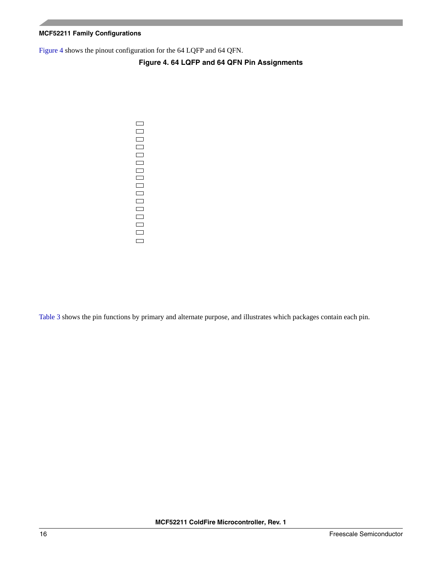<span id="page-15-0"></span>[Figure 4](#page-15-0) shows the pinout configuration for the 64 LQFP and 64 QFN.

### **Figure 4. 64 LQFP and 64 QFN Pin Assignments**

 $\qquad \qquad \Box$  $\qquad \qquad \Box$  $\Box$  $\qquad \qquad \Box$  $\Box$  $\Box$  $\Box$  $\qquad \qquad \Box$  $\Box$  $\Box$  $\qquad \qquad \Box$  $\qquad \qquad \Box$  $\Box$  $\qquad \qquad \Box$ 

> $\qquad \qquad \Box$  $\Box$

[Table 3](#page-16-0) shows the pin functions by primary and alternate purpose, and illustrates which packages contain each pin.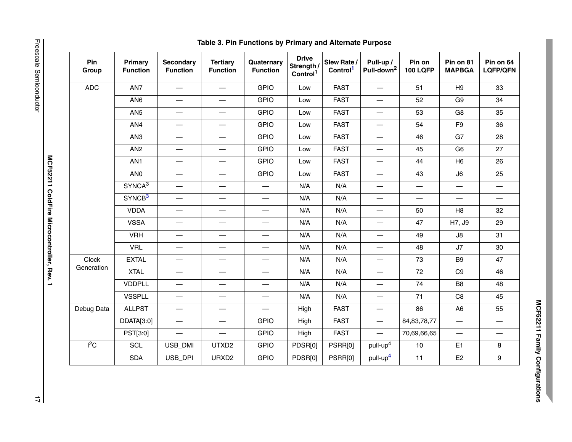| Pin<br>Group | Primary<br><b>Function</b> | <b>Secondary</b><br><b>Function</b> | <b>Tertiary</b><br><b>Function</b> | Quaternary<br><b>Function</b> | <b>Drive</b><br>Strength /<br>Control <sup>1</sup> | Slew Rate /<br>Control <sup>1</sup> | Pull-up /<br>Pull-down <sup>2</sup> | Pin on<br><b>100 LQFP</b> | Pin on 81<br><b>MAPBGA</b>     | Pin on 64<br><b>LQFP/QFN</b>   |
|--------------|----------------------------|-------------------------------------|------------------------------------|-------------------------------|----------------------------------------------------|-------------------------------------|-------------------------------------|---------------------------|--------------------------------|--------------------------------|
| <b>ADC</b>   | AN7                        | $\overbrace{\phantom{12322111}}$    |                                    | <b>GPIO</b>                   | Low                                                | <b>FAST</b>                         | $\overline{\phantom{m}}$            | 51                        | H <sub>9</sub>                 | 33                             |
|              | AN <sub>6</sub>            | $\overline{\phantom{m}}$            | $\overline{\phantom{m}}$           | <b>GPIO</b>                   | Low                                                | <b>FAST</b>                         | $\overline{\phantom{m}}$            | 52                        | G9                             | 34                             |
|              | AN <sub>5</sub>            |                                     | $\overbrace{\phantom{123221111}}$  | <b>GPIO</b>                   | Low                                                | <b>FAST</b>                         | $\overbrace{\phantom{12322111}}$    | 53                        | G8                             | 35                             |
|              | AN4                        | $\overline{\phantom{0}}$            | $\qquad \qquad$                    | <b>GPIO</b>                   | Low                                                | <b>FAST</b>                         |                                     | 54                        | F <sub>9</sub>                 | 36                             |
|              | AN <sub>3</sub>            |                                     | $\qquad \qquad \longleftarrow$     | <b>GPIO</b>                   | Low                                                | <b>FAST</b>                         |                                     | 46                        | G7                             | 28                             |
|              | AN <sub>2</sub>            |                                     | $\qquad \qquad -$                  | <b>GPIO</b>                   | Low                                                | <b>FAST</b>                         | $\overline{\phantom{m}}$            | 45                        | G <sub>6</sub>                 | 27                             |
|              | AN1                        |                                     | $\qquad \qquad \longleftarrow$     | <b>GPIO</b>                   | Low                                                | <b>FAST</b>                         | $\overbrace{\phantom{12322111}}$    | 44                        | H <sub>6</sub>                 | 26                             |
|              | AN <sub>0</sub>            | $\qquad \qquad -$                   | $\overbrace{\phantom{123221111}}$  | <b>GPIO</b>                   | Low                                                | <b>FAST</b>                         | $\overline{\phantom{0}}$            | 43                        | J6                             | 25                             |
|              | SYNCA <sup>3</sup>         | $\qquad \qquad \longleftarrow$      | $\qquad \qquad \longleftarrow$     |                               | N/A                                                | N/A                                 | $\qquad \qquad -$                   | $\qquad \qquad -$         | $\qquad \qquad$                | $\overline{\phantom{m}}$       |
|              | SYNCB <sup>3</sup>         |                                     | $\qquad \qquad$                    |                               | N/A                                                | N/A                                 | $\overline{\phantom{m}}$            |                           | $\qquad \qquad \longleftarrow$ | $\qquad \qquad \longleftarrow$ |
|              | <b>VDDA</b>                | $\qquad \qquad \longleftarrow$      | $\overline{\phantom{0}}$           | $\overline{\phantom{0}}$      | N/A                                                | N/A                                 | $\overline{\phantom{0}}$            | 50                        | H <sub>8</sub>                 | 32                             |
|              | <b>VSSA</b>                | $\overline{\phantom{0}}$            | $\overline{\phantom{0}}$           |                               | N/A                                                | N/A                                 | $\overline{\phantom{m}}$            | 47                        | H7, J9                         | 29                             |
|              | <b>VRH</b>                 | $\overline{\phantom{m}}$            | $\overline{\phantom{m}}$           |                               | N/A                                                | N/A                                 | $\overline{\phantom{0}}$            | 49                        | $\mathsf{J}8$                  | 31                             |
|              | <b>VRL</b>                 | $\overline{\phantom{0}}$            |                                    | $\overline{\phantom{0}}$      | N/A                                                | N/A                                 |                                     | 48                        | J7                             | 30                             |
| Clock        | <b>EXTAL</b>               | $\qquad \qquad$                     | $\qquad \qquad$                    | $\overline{\phantom{0}}$      | N/A                                                | N/A                                 | $\overline{\phantom{0}}$            | 73                        | B <sub>9</sub>                 | 47                             |
| Generation   | <b>XTAL</b>                | $\qquad \qquad$                     |                                    | $\overline{\phantom{0}}$      | N/A                                                | N/A                                 | $\overline{\phantom{0}}$            | 72                        | C9                             | 46                             |
|              | <b>VDDPLL</b>              | $\overbrace{\phantom{123221111}}$   | $\qquad \qquad$                    |                               | N/A                                                | N/A                                 | $\qquad \qquad -$                   | 74                        | B <sub>8</sub>                 | 48                             |
|              | <b>VSSPLL</b>              |                                     | $\qquad \qquad$                    | $\overline{\phantom{0}}$      | N/A                                                | N/A                                 | $\overline{\phantom{m}}$            | $71$                      | $_{\rm C8}$                    | 45                             |
| Debug Data   | <b>ALLPST</b>              |                                     | $\qquad \qquad$                    | $\overline{\phantom{0}}$      | High                                               | <b>FAST</b>                         | $\overline{\phantom{m}}$            | 86                        | A <sub>6</sub>                 | 55                             |
|              | DDATA[3:0]                 | $\qquad \qquad$                     | $\qquad \qquad -$                  | <b>GPIO</b>                   | High                                               | <b>FAST</b>                         | $\overline{\phantom{0}}$            | 84, 83, 78, 77            | $\overline{\phantom{0}}$       | $\qquad \qquad$                |
|              | PST[3:0]                   |                                     | $\overline{\phantom{m}}$           | <b>GPIO</b>                   | High                                               | <b>FAST</b>                         | $\overline{\phantom{m}}$            | 70,69,66,65               | $\overline{\phantom{m}}$       | $\overline{\phantom{m}}$       |
| $I^2C$       | <b>SCL</b>                 | USB_DMI                             | UTXD2                              | <b>GPIO</b>                   | PDSR[0]                                            | PSRR[0]                             | pull-up <sup>4</sup>                | $10$                      | E <sub>1</sub>                 | 8                              |
|              | <b>SDA</b>                 | USB_DPI                             | URXD <sub>2</sub>                  | <b>GPIO</b>                   | PDSR[0]                                            | PSRR[0]                             | pull-up <sup>4</sup>                | 11                        | E2                             | 9                              |

MCF52211 Family Configurations **MCF52211 Family Configurations**

<span id="page-16-0"></span>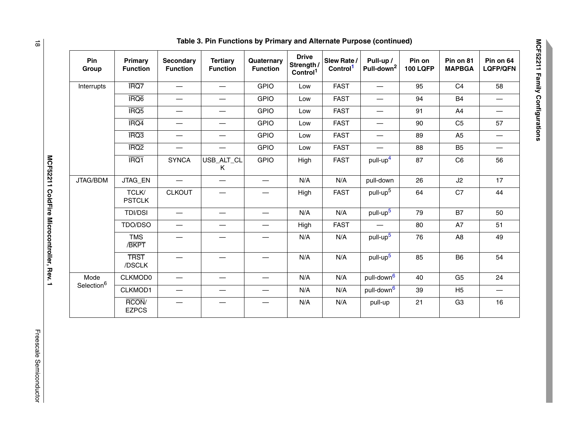| IRQ7<br><b>GPIO</b><br>C <sub>4</sub><br><b>FAST</b><br>95<br>Low<br>$\overline{\phantom{0}}$<br>$\overbrace{\phantom{123331}}$<br>IRQ <sub>6</sub><br><b>GPIO</b><br><b>FAST</b><br><b>B4</b><br>94<br>Low<br>—<br>IRQ <sub>5</sub><br><b>GPIO</b><br><b>FAST</b><br>91<br>A4<br>Low<br>$\overline{\phantom{0}}$<br>IRQ4<br><b>GPIO</b><br><b>FAST</b><br>C <sub>5</sub><br>90<br>Low<br>$\overline{\phantom{0}}$<br>$\overbrace{\phantom{12333}}$<br>IRQ3<br><b>GPIO</b><br><b>FAST</b><br>89<br>A <sub>5</sub><br>Low<br>$\qquad \qquad -$<br>$\qquad \qquad$<br>IRQ <sub>2</sub><br><b>GPIO</b><br><b>FAST</b><br>88<br>B <sub>5</sub><br>Low<br>$\overline{\phantom{0}}$<br>$\overline{\phantom{0}}$<br>IRQ1<br>pull-up <sup>4</sup><br><b>SYNCA</b><br>USB_ALT_CL<br><b>GPIO</b><br><b>FAST</b><br>C <sub>6</sub><br>High<br>87<br>Κ<br>JTAG_EN<br>N/A<br>26<br>N/A<br>pull-down<br>J2<br>pull-up <sup>5</sup><br>C7<br>TCLK/<br><b>CLKOUT</b><br>64<br><b>FAST</b><br>High<br><b>PSTCLK</b><br>pull-up <sup>5</sup><br>N/A<br><b>B7</b><br><b>TDI/DSI</b><br>N/A<br>79<br>$\overline{\phantom{0}}$<br>$\overline{\phantom{0}}$<br>TDO/DSO<br><b>FAST</b><br>80<br>A7<br>High<br>$\overline{\phantom{0}}$<br>pull-up <sup>5</sup><br><b>TMS</b><br>N/A<br>N/A<br>76<br>A <sub>8</sub><br>/BKPT<br>pull-up <sup>5</sup><br><b>TRST</b><br>N/A<br>N/A<br><b>B6</b><br>85<br>/DSCLK<br>pull-down <sup>6</sup><br>Mode<br>CLKMOD0<br>N/A<br>N/A<br>40<br>G <sub>5</sub><br>pull-down <sup>6</sup><br>CLKMOD1<br>N/A<br>N/A<br>39<br>H <sub>5</sub><br>$\overline{\phantom{0}}$<br>RCON/<br>N/A<br>21<br>G <sub>3</sub><br>N/A<br>pull-up<br>$\overline{\phantom{0}}$<br>$\overline{\phantom{0}}$ | Pin<br>Group | Primary<br><b>Function</b> | <b>Secondary</b><br><b>Function</b> | <b>Tertiary</b><br><b>Function</b> | Quaternary<br><b>Function</b> | <b>Drive</b><br>Strength /<br>Control <sup>1</sup> | Slew Rate /<br>Control <sup>1</sup> | Pull-up /<br>Pull-down <sup>2</sup> | Pin on<br><b>100 LQFP</b> | Pin on 81<br><b>MAPBGA</b> | Pin on 64<br><b>LQFP/QFN</b> |
|----------------------------------------------------------------------------------------------------------------------------------------------------------------------------------------------------------------------------------------------------------------------------------------------------------------------------------------------------------------------------------------------------------------------------------------------------------------------------------------------------------------------------------------------------------------------------------------------------------------------------------------------------------------------------------------------------------------------------------------------------------------------------------------------------------------------------------------------------------------------------------------------------------------------------------------------------------------------------------------------------------------------------------------------------------------------------------------------------------------------------------------------------------------------------------------------------------------------------------------------------------------------------------------------------------------------------------------------------------------------------------------------------------------------------------------------------------------------------------------------------------------------------------------------------------------------------------------------------------------------------------------------------------------------------------------------------|--------------|----------------------------|-------------------------------------|------------------------------------|-------------------------------|----------------------------------------------------|-------------------------------------|-------------------------------------|---------------------------|----------------------------|------------------------------|
|                                                                                                                                                                                                                                                                                                                                                                                                                                                                                                                                                                                                                                                                                                                                                                                                                                                                                                                                                                                                                                                                                                                                                                                                                                                                                                                                                                                                                                                                                                                                                                                                                                                                                                    | Interrupts   |                            |                                     |                                    |                               |                                                    |                                     |                                     |                           |                            | 58                           |
| Selection <sup>6</sup>                                                                                                                                                                                                                                                                                                                                                                                                                                                                                                                                                                                                                                                                                                                                                                                                                                                                                                                                                                                                                                                                                                                                                                                                                                                                                                                                                                                                                                                                                                                                                                                                                                                                             |              |                            |                                     |                                    |                               |                                                    |                                     |                                     |                           |                            |                              |
|                                                                                                                                                                                                                                                                                                                                                                                                                                                                                                                                                                                                                                                                                                                                                                                                                                                                                                                                                                                                                                                                                                                                                                                                                                                                                                                                                                                                                                                                                                                                                                                                                                                                                                    |              |                            |                                     |                                    |                               |                                                    |                                     |                                     |                           |                            | —                            |
|                                                                                                                                                                                                                                                                                                                                                                                                                                                                                                                                                                                                                                                                                                                                                                                                                                                                                                                                                                                                                                                                                                                                                                                                                                                                                                                                                                                                                                                                                                                                                                                                                                                                                                    |              |                            |                                     |                                    |                               |                                                    |                                     |                                     |                           |                            | 57                           |
|                                                                                                                                                                                                                                                                                                                                                                                                                                                                                                                                                                                                                                                                                                                                                                                                                                                                                                                                                                                                                                                                                                                                                                                                                                                                                                                                                                                                                                                                                                                                                                                                                                                                                                    |              |                            |                                     |                                    |                               |                                                    |                                     |                                     |                           |                            | —                            |
|                                                                                                                                                                                                                                                                                                                                                                                                                                                                                                                                                                                                                                                                                                                                                                                                                                                                                                                                                                                                                                                                                                                                                                                                                                                                                                                                                                                                                                                                                                                                                                                                                                                                                                    |              |                            |                                     |                                    |                               |                                                    |                                     |                                     |                           |                            | —                            |
|                                                                                                                                                                                                                                                                                                                                                                                                                                                                                                                                                                                                                                                                                                                                                                                                                                                                                                                                                                                                                                                                                                                                                                                                                                                                                                                                                                                                                                                                                                                                                                                                                                                                                                    |              |                            |                                     |                                    |                               |                                                    |                                     |                                     |                           |                            | 56                           |
|                                                                                                                                                                                                                                                                                                                                                                                                                                                                                                                                                                                                                                                                                                                                                                                                                                                                                                                                                                                                                                                                                                                                                                                                                                                                                                                                                                                                                                                                                                                                                                                                                                                                                                    | JTAG/BDM     |                            |                                     |                                    |                               |                                                    |                                     |                                     |                           |                            | 17                           |
|                                                                                                                                                                                                                                                                                                                                                                                                                                                                                                                                                                                                                                                                                                                                                                                                                                                                                                                                                                                                                                                                                                                                                                                                                                                                                                                                                                                                                                                                                                                                                                                                                                                                                                    |              |                            |                                     |                                    |                               |                                                    |                                     |                                     |                           |                            | 44                           |
|                                                                                                                                                                                                                                                                                                                                                                                                                                                                                                                                                                                                                                                                                                                                                                                                                                                                                                                                                                                                                                                                                                                                                                                                                                                                                                                                                                                                                                                                                                                                                                                                                                                                                                    |              |                            |                                     |                                    |                               |                                                    |                                     |                                     |                           |                            | 50                           |
|                                                                                                                                                                                                                                                                                                                                                                                                                                                                                                                                                                                                                                                                                                                                                                                                                                                                                                                                                                                                                                                                                                                                                                                                                                                                                                                                                                                                                                                                                                                                                                                                                                                                                                    |              |                            |                                     |                                    |                               |                                                    |                                     |                                     |                           |                            | 51                           |
|                                                                                                                                                                                                                                                                                                                                                                                                                                                                                                                                                                                                                                                                                                                                                                                                                                                                                                                                                                                                                                                                                                                                                                                                                                                                                                                                                                                                                                                                                                                                                                                                                                                                                                    |              |                            |                                     |                                    |                               |                                                    |                                     |                                     |                           |                            | 49                           |
|                                                                                                                                                                                                                                                                                                                                                                                                                                                                                                                                                                                                                                                                                                                                                                                                                                                                                                                                                                                                                                                                                                                                                                                                                                                                                                                                                                                                                                                                                                                                                                                                                                                                                                    |              |                            |                                     |                                    |                               |                                                    |                                     |                                     |                           |                            | 54                           |
|                                                                                                                                                                                                                                                                                                                                                                                                                                                                                                                                                                                                                                                                                                                                                                                                                                                                                                                                                                                                                                                                                                                                                                                                                                                                                                                                                                                                                                                                                                                                                                                                                                                                                                    |              |                            |                                     |                                    |                               |                                                    |                                     |                                     |                           |                            | 24                           |
|                                                                                                                                                                                                                                                                                                                                                                                                                                                                                                                                                                                                                                                                                                                                                                                                                                                                                                                                                                                                                                                                                                                                                                                                                                                                                                                                                                                                                                                                                                                                                                                                                                                                                                    |              |                            |                                     |                                    |                               |                                                    |                                     |                                     |                           |                            |                              |
|                                                                                                                                                                                                                                                                                                                                                                                                                                                                                                                                                                                                                                                                                                                                                                                                                                                                                                                                                                                                                                                                                                                                                                                                                                                                                                                                                                                                                                                                                                                                                                                                                                                                                                    |              | <b>EZPCS</b>               |                                     |                                    |                               |                                                    |                                     |                                     |                           |                            | 16                           |

**Table 3. Pin Functions by Primary and Alternate Purpose (continued)**

MCF52211 ColdFire Microcontroller, Rev. 1 **MCF52211 ColdFire Microcontroller, Rev. 1**

Freescale Semiconductor 18 Freescale Semiconductor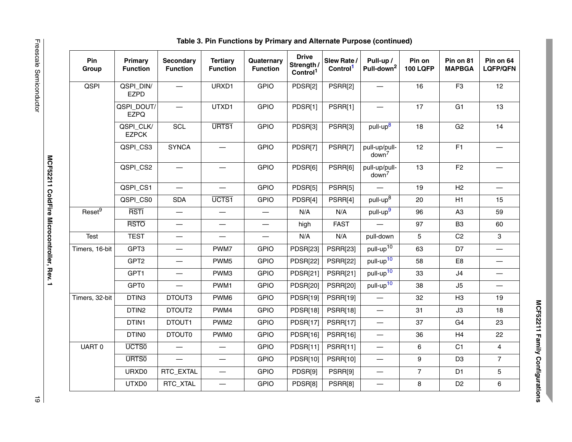| Pin<br>Group         | <b>Primary</b><br><b>Function</b> | <b>Secondary</b><br><b>Function</b> | <b>Tertiary</b><br><b>Function</b> | Quaternary<br><b>Function</b> | <b>Drive</b><br>Strength /<br>Control <sup>1</sup> | Slew Rate /<br>Control <sup>1</sup> | Pull-up /<br>Pull-down <sup>2</sup> | Pin on<br><b>100 LQFP</b> | Pin on 81<br><b>MAPBGA</b> | Pin on 64<br><b>LQFP/QFN</b>     |
|----------------------|-----------------------------------|-------------------------------------|------------------------------------|-------------------------------|----------------------------------------------------|-------------------------------------|-------------------------------------|---------------------------|----------------------------|----------------------------------|
| QSPI                 | QSPI_DIN/<br><b>EZPD</b>          |                                     | URXD1                              | <b>GPIO</b>                   | PDSR[2]                                            | PSRR[2]                             | $\overline{\phantom{0}}$            | 16                        | F <sub>3</sub>             | 12                               |
|                      | QSPI_DOUT/<br><b>EZPQ</b>         |                                     | UTXD1                              | <b>GPIO</b>                   | PDSR[1]                                            | PSRR[1]                             |                                     | 17                        | G <sub>1</sub>             | 13                               |
|                      | QSPI_CLK/<br><b>EZPCK</b>         | <b>SCL</b>                          | URTS1                              | <b>GPIO</b>                   | PDSR[3]                                            | PSRR[3]                             | pull-up <sup>8</sup>                | 18                        | G <sub>2</sub>             | 14                               |
|                      | QSPI_CS3                          | <b>SYNCA</b>                        |                                    | <b>GPIO</b>                   | PDSR[7]                                            | PSRR[7]                             | pull-up/pull-<br>down <sup>7</sup>  | 12                        | F1                         |                                  |
|                      | QSPI_CS2                          |                                     |                                    | <b>GPIO</b>                   | PDSR[6]                                            | PSRR[6]                             | pull-up/pull-<br>down <sup>7</sup>  | 13                        | F <sub>2</sub>             |                                  |
|                      | QSPI_CS1                          | $\overline{\phantom{0}}$            | $\overline{\phantom{0}}$           | <b>GPIO</b>                   | PDSR[5]                                            | PSRR[5]                             | $\overline{\phantom{0}}$            | 19                        | H2                         | $\overline{\phantom{0}}$         |
|                      | QSPI_CS0                          | <b>SDA</b>                          | UCTS1                              | <b>GPIO</b>                   | PDSR[4]                                            | PSRR[4]                             | pull-up <sup>8</sup>                | 20                        | H1                         | 15                               |
| Reset $\overline{9}$ | <b>RSTI</b>                       |                                     |                                    |                               | N/A                                                | N/A                                 | pull-up <sup>9</sup>                | 96                        | A <sub>3</sub>             | 59                               |
|                      | <b>RSTO</b>                       | $\overbrace{\phantom{12322111}}$    |                                    |                               | high                                               | <b>FAST</b>                         | $\overline{\phantom{0}}$            | 97                        | B <sub>3</sub>             | 60                               |
| <b>Test</b>          | <b>TEST</b>                       | $\overbrace{\phantom{12322111}}$    | $\overline{\phantom{0}}$           |                               | N/A                                                | N/A                                 | pull-down                           | 5                         | C <sub>2</sub>             | 3                                |
| Timers, 16-bit       | GPT3                              | $\qquad \qquad$                     | PWM7                               | <b>GPIO</b>                   | <b>PDSR[23]</b>                                    | <b>PSRR[23]</b>                     | pull-up <sup>10</sup>               | 63                        | D7                         | $\overline{\phantom{0}}$         |
|                      | GPT <sub>2</sub>                  | $\overline{\phantom{m}}$            | PWM <sub>5</sub>                   | <b>GPIO</b>                   | <b>PDSR[22]</b>                                    | <b>PSRR[22]</b>                     | pull-up <sup>10</sup>               | 58                        | E <sub>8</sub>             | $\overbrace{\phantom{12322111}}$ |
|                      | GPT1                              | $\overline{\phantom{m}}$            | PWM3                               | <b>GPIO</b>                   | <b>PDSR[21]</b>                                    | <b>PSRR[21]</b>                     | pull-up <sup>10</sup>               | 33                        | J4                         | $\overline{\phantom{0}}$         |
|                      | GPT0                              |                                     | PWM1                               | <b>GPIO</b>                   | <b>PDSR[20]</b>                                    | <b>PSRR[20]</b>                     | pull-up <sup>10</sup>               | 38                        | J5                         | $\overline{\phantom{0}}$         |
| Timers, 32-bit       | DTIN3                             | DTOUT3                              | PWM6                               | <b>GPIO</b>                   | <b>PDSR[19]</b>                                    | <b>PSRR[19]</b>                     | $\overline{\phantom{0}}$            | 32                        | H3                         | 19                               |
|                      | DTIN2                             | DTOUT2                              | PWM4                               | <b>GPIO</b>                   | PDSR[18]                                           | <b>PSRR[18]</b>                     | $\qquad \qquad -$                   | 31                        | J3                         | 18                               |
|                      | DTIN1                             | DTOUT1                              | PWM <sub>2</sub>                   | <b>GPIO</b>                   | <b>PDSR[17]</b>                                    | <b>PSRR[17]</b>                     |                                     | 37                        | G <sub>4</sub>             | 23                               |
|                      | DTIN0                             | DTOUT0                              | PWM0                               | <b>GPIO</b>                   | PDSR[16]                                           | <b>PSRR[16]</b>                     | $\overline{\phantom{0}}$            | 36                        | H4                         | 22                               |
| UART 0               | UCTS <sub>0</sub>                 |                                     |                                    | <b>GPIO</b>                   | PDSR[11]                                           | <b>PSRR[11]</b>                     |                                     | 6                         | C1                         | 4                                |
|                      | URT <sub>S0</sub>                 |                                     |                                    | <b>GPIO</b>                   | <b>PDSR[10]</b>                                    | <b>PSRR[10]</b>                     | $\overline{\phantom{0}}$            | 9                         | D <sub>3</sub>             | $\overline{7}$                   |
|                      | URXD0                             | RTC_EXTAL                           | $\overbrace{\phantom{123221111}}$  | <b>GPIO</b>                   | PDSR[9]                                            | PSRR[9]                             |                                     | $\overline{7}$            | D <sub>1</sub>             | $\mathbf 5$                      |
|                      | UTXD0                             | RTC_XTAL                            | $\overline{\phantom{0}}$           | <b>GPIO</b>                   | PDSR[8]                                            | PSRR[8]                             |                                     | 8                         | D <sub>2</sub>             | $\,6\,$                          |

Freescale Semiconductor

MCF52211 Family Configurations **MCF52211 Family Configurations**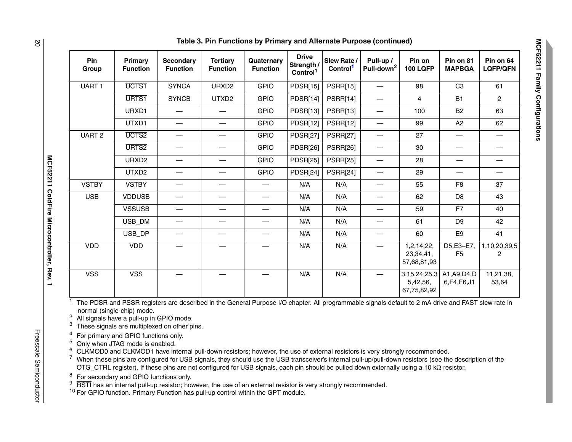| Pin<br>Group      | Primary<br><b>Function</b> | Secondary<br><b>Function</b>    | <b>Tertiary</b><br><b>Function</b> | Quaternary<br><b>Function</b> | <b>Drive</b><br>Strength /<br>Control <sup>1</sup> | Slew Rate/<br>Control <sup>1</sup> | Pull-up /<br>Pull-down <sup>2</sup> | Pin on<br><b>100 LQFP</b>                               | Pin on 81<br><b>MAPBGA</b>  | Pin on 64<br><b>LQFP/QFN</b>    |
|-------------------|----------------------------|---------------------------------|------------------------------------|-------------------------------|----------------------------------------------------|------------------------------------|-------------------------------------|---------------------------------------------------------|-----------------------------|---------------------------------|
| UART <sub>1</sub> | UCTS1                      | <b>SYNCA</b>                    | URXD <sub>2</sub>                  | <b>GPIO</b>                   | <b>PDSR[15]</b>                                    | <b>PSRR[15]</b>                    |                                     | 98                                                      | C <sub>3</sub>              | 61                              |
|                   | URTS1                      | <b>SYNCB</b>                    | UTXD2                              | <b>GPIO</b>                   | PDSR[14]                                           | PSRR[14]                           | $\overbrace{\phantom{13333}}$       | $\overline{4}$                                          | <b>B1</b>                   | $\overline{2}$                  |
|                   | URXD1                      |                                 |                                    | <b>GPIO</b>                   | <b>PDSR[13]</b>                                    | <b>PSRR[13]</b>                    | $\qquad \qquad -$                   | 100                                                     | <b>B2</b>                   | 63                              |
|                   | UTXD1                      | —                               | —                                  | <b>GPIO</b>                   | PDSR[12]                                           | <b>PSRR[12]</b>                    | $\qquad \qquad$                     | 99                                                      | A2                          | 62                              |
| <b>UART 2</b>     | UCTS <sub>2</sub>          | $\overline{\phantom{0}}$        |                                    | <b>GPIO</b>                   | <b>PDSR[27]</b>                                    | <b>PSRR[27]</b>                    | $\overbrace{\phantom{12322111}}$    | 27                                                      |                             | —                               |
|                   | URTS <sub>2</sub>          |                                 | —                                  | <b>GPIO</b>                   | <b>PDSR[26]</b>                                    | <b>PSRR[26]</b>                    | $\overline{\phantom{0}}$            | 30                                                      |                             |                                 |
|                   | URXD <sub>2</sub>          |                                 |                                    | <b>GPIO</b>                   | <b>PDSR[25]</b>                                    | <b>PSRR[25]</b>                    | $\qquad \qquad \longleftarrow$      | 28                                                      |                             |                                 |
|                   | UTXD2                      | $\overbrace{\phantom{12333}}$   | $\overline{\phantom{0}}$           | <b>GPIO</b>                   | PDSR[24]                                           | PSRR[24]                           | $\overline{\phantom{m}}$            | 29                                                      | $\overline{\phantom{0}}$    | $\hspace{0.1mm}-\hspace{0.1mm}$ |
| <b>VSTBY</b>      | <b>VSTBY</b>               |                                 | —                                  | $\overline{\phantom{0}}$      | N/A                                                | N/A                                | $\overline{\phantom{0}}$            | 55                                                      | F8                          | 37                              |
| <b>USB</b>        | <b>VDDUSB</b>              |                                 |                                    | —                             | N/A                                                | N/A                                | $\overline{\phantom{0}}$            | 62                                                      | D <sub>8</sub>              | 43                              |
|                   | <b>VSSUSB</b>              | $\hspace{0.1mm}-\hspace{0.1mm}$ |                                    |                               | N/A                                                | N/A                                |                                     | 59                                                      | F7                          | 40                              |
|                   | USB_DM                     | —                               |                                    | $\overline{\phantom{0}}$      | N/A                                                | N/A                                | $\overbrace{\phantom{12333}}$       | 61                                                      | D <sub>9</sub>              | 42                              |
|                   | USB_DP                     |                                 |                                    | $\overbrace{\phantom{12333}}$ | N/A                                                | N/A                                |                                     | 60                                                      | E9                          | 41                              |
| <b>VDD</b>        | <b>VDD</b>                 |                                 |                                    |                               | N/A                                                | N/A                                |                                     | 1,2,14,22,<br>23,34,41,<br>57,68,81,93                  | D5,E3-E7,<br>F <sub>5</sub> | 1,10,20,39,5<br>$\overline{2}$  |
| <b>VSS</b>        | <b>VSS</b>                 |                                 |                                    |                               | N/A                                                | N/A                                |                                     | $3,15,24,25,3$ A1, A9, D4, D<br>5,42,56,<br>67,75,82,92 | 6, F4, F6, J1               | 11,21,38,<br>53,64              |

 $1$  The PDSR and PSSR registers are described in the General Purpose I/O chapter. All programmable signals default to 2 mA drive and FAST slew rate in normal (single-chip) mode.

 $^2\,$  All signals have a pull-up in GPIO mode.<br> $^3\,$  These signals are multiplexed on other pins.

 $^4$  For primary and GPIO functions only.<br> $^5$  Only when JTAG mode is enabled.

6CLKMOD0 and CLKMOD1 have internal pull-down resistors; however, the use of external resistors is very strongly recommended.

 $^7$  When these pins are configured for USB signals, they should use the USB transceiver's internal pull-up/pull-down resistors (see the description of the OTG\_CTRL register). If these pins are not configured for USB signals, each pin should be pulled down externally using a 10 kΩ resistor.

<sup>8</sup> For secondary and GPIO functions only.<br><sup>9</sup> RSTI has an internal pull-up resistor; however, the use of an external resistor is very strongly recommended.

<sup>10</sup> For GPIO function. Primary Function has pull-up control within the GPT module.

**SO**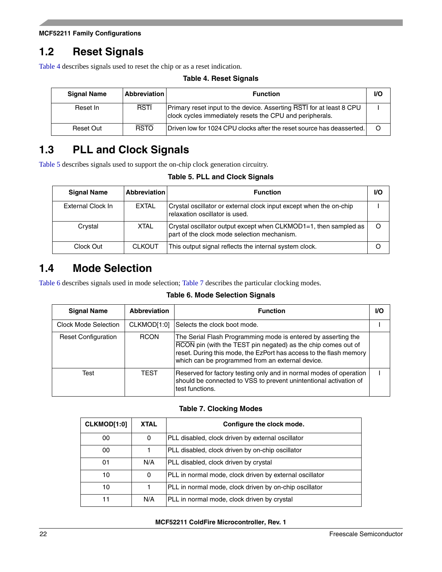# <span id="page-21-0"></span>**1.2 Reset Signals**

<span id="page-21-3"></span>[Table 4](#page-21-3) describes signals used to reset the chip or as a reset indication.

**Table 4. Reset Signals**

| <b>Signal Name</b> | <b>Abbreviation</b> | <b>Function</b>                                                                                                                  | <b>VO</b> |
|--------------------|---------------------|----------------------------------------------------------------------------------------------------------------------------------|-----------|
| Reset In           | <b>RSTI</b>         | Primary reset input to the device. Asserting RSTI for at least 8 CPU<br>clock cycles immediately resets the CPU and peripherals. |           |
| Reset Out          | <b>RSTO</b>         | Driven low for 1024 CPU clocks after the reset source has deasserted.                                                            |           |

# <span id="page-21-1"></span>**1.3 PLL and Clock Signals**

<span id="page-21-4"></span>[Table 5](#page-21-4) describes signals used to support the on-chip clock generation circuitry.

### **Table 5. PLL and Clock Signals**

| <b>Signal Name</b> | <b>Abbreviation</b> | <b>Function</b>                                                                                                 | I/O |
|--------------------|---------------------|-----------------------------------------------------------------------------------------------------------------|-----|
| External Clock In  | <b>EXTAL</b>        | Crystal oscillator or external clock input except when the on-chip<br>relaxation oscillator is used.            |     |
| Crystal            | <b>XTAL</b>         | Crystal oscillator output except when CLKMOD1=1, then sampled as<br>part of the clock mode selection mechanism. | Ω   |
| Clock Out          | <b>CLKOUT</b>       | This output signal reflects the internal system clock.                                                          |     |

### <span id="page-21-2"></span>**1.4 Mode Selection**

<span id="page-21-5"></span>[Table 6](#page-21-5) describes signals used in mode selection; [Table 7](#page-21-6) describes the particular clocking modes.

**Table 6. Mode Selection Signals**

| <b>Signal Name</b>         | <b>Abbreviation</b> | <b>Function</b>                                                                                                                                                                                                                                          | I/O |
|----------------------------|---------------------|----------------------------------------------------------------------------------------------------------------------------------------------------------------------------------------------------------------------------------------------------------|-----|
| Clock Mode Selection       | CLKMOD[1:0]         | Selects the clock boot mode.                                                                                                                                                                                                                             |     |
| <b>Reset Configuration</b> | <b>RCON</b>         | The Serial Flash Programming mode is entered by asserting the<br>RCON pin (with the TEST pin negated) as the chip comes out of<br>reset. During this mode, the EzPort has access to the flash memory<br>which can be programmed from an external device. |     |
| Test                       | <b>TEST</b>         | Reserved for factory testing only and in normal modes of operation<br>should be connected to VSS to prevent unintentional activation of<br>test functions.                                                                                               |     |

### **Table 7. Clocking Modes**

<span id="page-21-6"></span>

| CLKMOD[1:0] | <b>XTAL</b> | Configure the clock mode.                               |
|-------------|-------------|---------------------------------------------------------|
| 00          | 0           | PLL disabled, clock driven by external oscillator       |
| 00          |             | PLL disabled, clock driven by on-chip oscillator        |
| 01          | N/A         | PLL disabled, clock driven by crystal                   |
| 10          | 0           | PLL in normal mode, clock driven by external oscillator |
| 10          | 1           | PLL in normal mode, clock driven by on-chip oscillator  |
|             | N/A         | PLL in normal mode, clock driven by crystal             |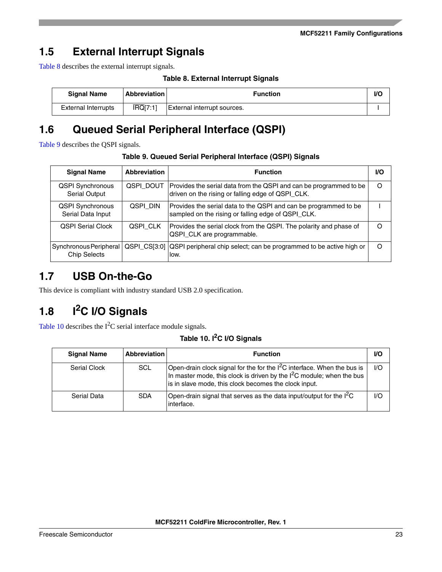# <span id="page-22-0"></span>**1.5 External Interrupt Signals**

<span id="page-22-4"></span>[Table 8](#page-22-4) describes the external interrupt signals.

**Table 8. External Interrupt Signals**

| <b>Signal Name</b>         | <b>Abbreviation</b> | Function                    | <b>I/C</b> |
|----------------------------|---------------------|-----------------------------|------------|
| <b>External Interrupts</b> | IRQ[7:1]            | External interrupt sources. |            |

# <span id="page-22-1"></span>**1.6 Queued Serial Peripheral Interface (QSPI)**

<span id="page-22-5"></span>[Table 9](#page-22-5) describes the QSPI signals.

| <b>Signal Name</b>                              | <b>Abbreviation</b> | <b>Function</b>                                                                                                         | <b>VO</b> |
|-------------------------------------------------|---------------------|-------------------------------------------------------------------------------------------------------------------------|-----------|
| <b>QSPI Synchronous</b><br><b>Serial Output</b> | QSPI DOUT           | Provides the serial data from the QSPI and can be programmed to be<br>driven on the rising or falling edge of QSPI_CLK. | Ω         |
| <b>QSPI Synchronous</b><br>Serial Data Input    | QSPI DIN            | Provides the serial data to the QSPI and can be programmed to be<br>sampled on the rising or falling edge of QSPI_CLK.  |           |
| <b>OSPI Serial Clock</b>                        | QSPI CLK            | Provides the serial clock from the QSPI. The polarity and phase of<br>QSPI_CLK are programmable.                        | Ω         |
| Synchronous Peripheral<br><b>Chip Selects</b>   |                     | QSPI_CS[3:0] QSPI peripheral chip select; can be programmed to be active high or<br>low.                                | Ω         |

# <span id="page-22-2"></span>**1.7 USB On-the-Go**

This device is compliant with industry standard USB 2.0 specification.

# <span id="page-22-3"></span>**1.8 I2C I/O Signals**

<span id="page-22-6"></span>[Table 10](#page-22-6) describes the  $I^2C$  serial interface module signals.

**Table 10. I2C I/O Signals**

| <b>Signal Name</b> | <b>Abbreviation</b> | <b>Function</b>                                                                                                                                                                                              | VO    |
|--------------------|---------------------|--------------------------------------------------------------------------------------------------------------------------------------------------------------------------------------------------------------|-------|
| Serial Clock       | <b>SCL</b>          | Open-drain clock signal for the for the $I^2C$ interface. When the bus is<br>In master mode, this clock is driven by the $12C$ module; when the bus<br>is in slave mode, this clock becomes the clock input. | 1/O   |
| Serial Data        | <b>SDA</b>          | Open-drain signal that serves as the data input/output for the $I^2C$<br>interface.                                                                                                                          | $U$ O |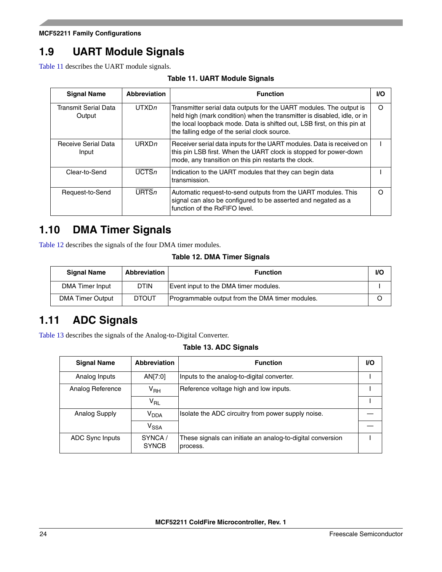# <span id="page-23-0"></span>**1.9 UART Module Signals**

<span id="page-23-3"></span>[Table 11](#page-23-3) describes the UART module signals.

| <b>Table 11. UART Module Signals</b> |  |  |  |
|--------------------------------------|--|--|--|
|--------------------------------------|--|--|--|

| <b>Signal Name</b>             | <b>Abbreviation</b> | <b>Function</b>                                                                                                                                                                                                                                                            | VO. |
|--------------------------------|---------------------|----------------------------------------------------------------------------------------------------------------------------------------------------------------------------------------------------------------------------------------------------------------------------|-----|
| Transmit Serial Data<br>Output | UTXDn               | Transmitter serial data outputs for the UART modules. The output is<br>held high (mark condition) when the transmitter is disabled, idle, or in<br>the local loopback mode. Data is shifted out, LSB first, on this pin at<br>the falling edge of the serial clock source. | O   |
| Receive Serial Data<br>Input   | URXDn               | Receiver serial data inputs for the UART modules. Data is received on<br>this pin LSB first. When the UART clock is stopped for power-down<br>mode, any transition on this pin restarts the clock.                                                                         |     |
| Clear-to-Send                  | $\overline{UCTSn}$  | Indication to the UART modules that they can begin data<br>transmission.                                                                                                                                                                                                   |     |
| Request-to-Send                | $\overline{URTS}n$  | Automatic request-to-send outputs from the UART modules. This<br>signal can also be configured to be asserted and negated as a<br>function of the RxFIFO level.                                                                                                            | ∩   |

# <span id="page-23-1"></span>**1.10 DMA Timer Signals**

<span id="page-23-4"></span>[Table 12](#page-23-4) describes the signals of the four DMA timer modules.

### **Table 12. DMA Timer Signals**

| <b>Signal Name</b>      | Abbreviation | <b>Function</b>                                 | <b>VO</b> |
|-------------------------|--------------|-------------------------------------------------|-----------|
| DMA Timer Input         | <b>DTIN</b>  | Event input to the DMA timer modules.           |           |
| <b>DMA Timer Output</b> | <b>DTOUT</b> | Programmable output from the DMA timer modules. |           |

# <span id="page-23-2"></span>**1.11 ADC Signals**

<span id="page-23-5"></span>[Table 13](#page-23-5) describes the signals of the Analog-to-Digital Converter.

### **Table 13. ADC Signals**

| <b>Signal Name</b> | <b>Abbreviation</b>    | <b>Function</b>                                                        | VO. |
|--------------------|------------------------|------------------------------------------------------------------------|-----|
| Analog Inputs      | AN[7:0]                | Inputs to the analog-to-digital converter.                             |     |
| Analog Reference   | V <sub>RH</sub>        | Reference voltage high and low inputs.                                 |     |
|                    | $V_{RL}$               |                                                                        |     |
| Analog Supply      | <b>V<sub>DDA</sub></b> | Isolate the ADC circuitry from power supply noise.                     |     |
|                    | V <sub>SSA</sub>       |                                                                        |     |
| ADC Sync Inputs    | SYNCA/<br><b>SYNCB</b> | These signals can initiate an analog-to-digital conversion<br>process. |     |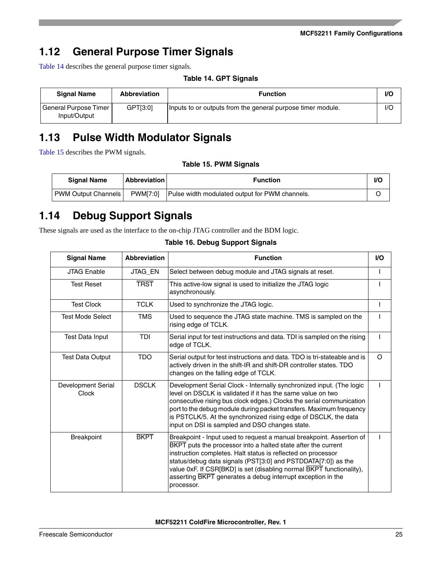# <span id="page-24-0"></span>**1.12 General Purpose Timer Signals**

<span id="page-24-3"></span>[Table 14](#page-24-3) describes the general purpose timer signals.

**Table 14. GPT Signals**

| <b>Signal Name</b>                    | <b>Abbreviation</b> | <b>Function</b>                                             | I/C |
|---------------------------------------|---------------------|-------------------------------------------------------------|-----|
| General Purpose Timer<br>Input/Output | GPT[3:0]            | Inputs to or outputs from the general purpose timer module. | I/C |

# <span id="page-24-1"></span>**1.13 Pulse Width Modulator Signals**

<span id="page-24-4"></span>[Table 15](#page-24-4) describes the PWM signals.

**Table 15. PWM Signals**

| <b>Signal Name</b>    | <b>Abbreviation</b> | <b>Function</b>                                | I/С |
|-----------------------|---------------------|------------------------------------------------|-----|
| PWM Output Channels I | <b>PWM[7:0]</b>     | Pulse width modulated output for PWM channels. |     |

# <span id="page-24-2"></span>**1.14 Debug Support Signals**

<span id="page-24-5"></span>These signals are used as the interface to the on-chip JTAG controller and the BDM logic.

| <b>Signal Name</b>          | <b>Abbreviation</b> | <b>Function</b>                                                                                                                                                                                                                                                                                                                                                                                                                    |          |  |  |
|-----------------------------|---------------------|------------------------------------------------------------------------------------------------------------------------------------------------------------------------------------------------------------------------------------------------------------------------------------------------------------------------------------------------------------------------------------------------------------------------------------|----------|--|--|
| <b>JTAG Enable</b>          | JTAG_EN             | Select between debug module and JTAG signals at reset.                                                                                                                                                                                                                                                                                                                                                                             |          |  |  |
| <b>Test Reset</b>           | <b>TRST</b>         | This active-low signal is used to initialize the JTAG logic<br>asynchronously.                                                                                                                                                                                                                                                                                                                                                     |          |  |  |
| <b>Test Clock</b>           | <b>TCLK</b>         | Used to synchronize the JTAG logic.                                                                                                                                                                                                                                                                                                                                                                                                |          |  |  |
| Test Mode Select            | <b>TMS</b>          | Used to sequence the JTAG state machine. TMS is sampled on the<br>rising edge of TCLK.                                                                                                                                                                                                                                                                                                                                             |          |  |  |
| Test Data Input             | TDI                 | Serial input for test instructions and data. TDI is sampled on the rising<br>edge of TCLK.                                                                                                                                                                                                                                                                                                                                         |          |  |  |
| <b>Test Data Output</b>     | <b>TDO</b>          | Serial output for test instructions and data. TDO is tri-stateable and is<br>actively driven in the shift-IR and shift-DR controller states. TDO<br>changes on the falling edge of TCLK.                                                                                                                                                                                                                                           | $\Omega$ |  |  |
| Development Serial<br>Clock | <b>DSCLK</b>        | Development Serial Clock - Internally synchronized input. (The logic<br>level on DSCLK is validated if it has the same value on two<br>consecutive rising bus clock edges.) Clocks the serial communication<br>port to the debug module during packet transfers. Maximum frequency<br>is PSTCLK/5. At the synchronized rising edge of DSCLK, the data<br>input on DSI is sampled and DSO changes state.                            |          |  |  |
| <b>Breakpoint</b>           | <b>BKPT</b>         | Breakpoint - Input used to request a manual breakpoint. Assertion of<br><b>BKPT</b> puts the processor into a halted state after the current<br>instruction completes. Halt status is reflected on processor<br>status/debug data signals (PST[3:0] and PSTDDATA[7:0]) as the<br>value 0xF. If CSR[BKD] is set (disabling normal BKPT functionality),<br>asserting BKPT generates a debug interrupt exception in the<br>processor. |          |  |  |

**Table 16. Debug Support Signals**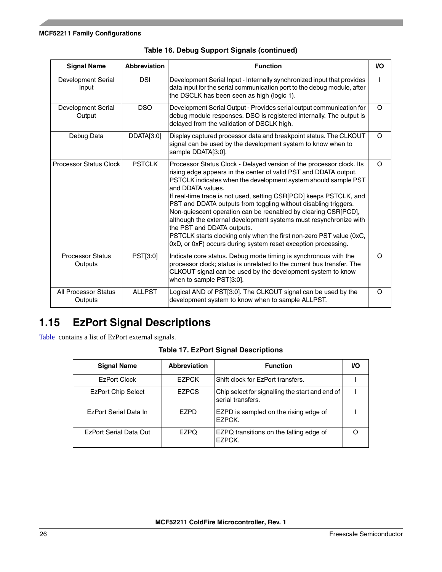| <b>Signal Name</b>                     | <b>Abbreviation</b> | <b>Function</b>                                                                                                                                                                                                                                                                                                                                                                                                                                                                                                                                                                                                                                                                       | <b>I/O</b> |
|----------------------------------------|---------------------|---------------------------------------------------------------------------------------------------------------------------------------------------------------------------------------------------------------------------------------------------------------------------------------------------------------------------------------------------------------------------------------------------------------------------------------------------------------------------------------------------------------------------------------------------------------------------------------------------------------------------------------------------------------------------------------|------------|
| Development Serial<br>Input            | <b>DSI</b>          | Development Serial Input - Internally synchronized input that provides<br>data input for the serial communication port to the debug module, after<br>the DSCLK has been seen as high (logic 1).                                                                                                                                                                                                                                                                                                                                                                                                                                                                                       |            |
| Development Serial<br>Output           | <b>DSO</b>          | Development Serial Output - Provides serial output communication for<br>debug module responses. DSO is registered internally. The output is<br>delayed from the validation of DSCLK high.                                                                                                                                                                                                                                                                                                                                                                                                                                                                                             | $\circ$    |
| Debug Data                             | DDATA[3:0]          | Display captured processor data and breakpoint status. The CLKOUT<br>signal can be used by the development system to know when to<br>sample DDATA[3:0].                                                                                                                                                                                                                                                                                                                                                                                                                                                                                                                               | $\Omega$   |
| <b>Processor Status Clock</b>          | <b>PSTCLK</b>       | Processor Status Clock - Delayed version of the processor clock. Its<br>rising edge appears in the center of valid PST and DDATA output.<br>PSTCLK indicates when the development system should sample PST<br>and DDATA values.<br>If real-time trace is not used, setting CSR[PCD] keeps PSTCLK, and<br>PST and DDATA outputs from toggling without disabling triggers.<br>Non-quiescent operation can be reenabled by clearing CSR[PCD],<br>although the external development systems must resynchronize with<br>the PST and DDATA outputs.<br>PSTCLK starts clocking only when the first non-zero PST value (0xC,<br>0xD, or 0xF) occurs during system reset exception processing. | $\Omega$   |
| <b>Processor Status</b><br>Outputs     | PST[3:0]            | Indicate core status. Debug mode timing is synchronous with the<br>processor clock; status is unrelated to the current bus transfer. The<br>CLKOUT signal can be used by the development system to know<br>when to sample PST[3:0].                                                                                                                                                                                                                                                                                                                                                                                                                                                   | $\circ$    |
| <b>All Processor Status</b><br>Outputs | <b>ALLPST</b>       | Logical AND of PST[3:0]. The CLKOUT signal can be used by the<br>development system to know when to sample ALLPST.                                                                                                                                                                                                                                                                                                                                                                                                                                                                                                                                                                    | $\circ$    |

| Table 16. Debug Support Signals (continued) |  |
|---------------------------------------------|--|
|---------------------------------------------|--|

# <span id="page-25-0"></span>**1.15 EzPort Signal Descriptions**

<span id="page-25-2"></span><span id="page-25-1"></span>[Table](#page-25-2) contains a list of EzPort external signals.

|  |  |  |  | <b>Table 17. EzPort Signal Descriptions</b> |
|--|--|--|--|---------------------------------------------|
|--|--|--|--|---------------------------------------------|

| <b>Signal Name</b>        | Abbreviation | <b>Function</b>                                                      | VO. |
|---------------------------|--------------|----------------------------------------------------------------------|-----|
| <b>EzPort Clock</b>       | <b>EZPCK</b> | Shift clock for EzPort transfers.                                    |     |
| <b>EzPort Chip Select</b> | <b>EZPCS</b> | Chip select for signalling the start and end of<br>serial transfers. |     |
| EzPort Serial Data In     | <b>FZPD</b>  | EZPD is sampled on the rising edge of<br>EZPCK.                      |     |
| EzPort Serial Data Out    | <b>EZPO</b>  | EZPQ transitions on the falling edge of<br>EZPCK.                    |     |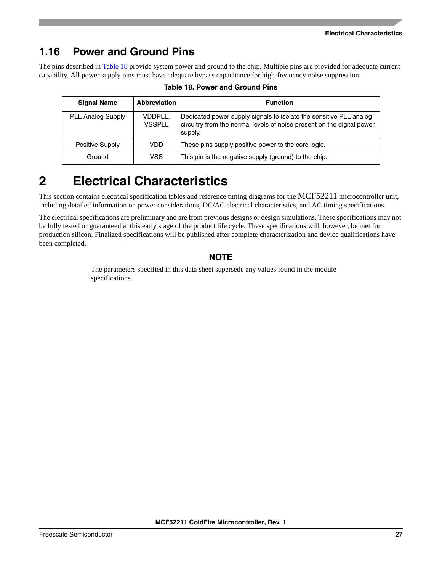# <span id="page-26-0"></span>**1.16 Power and Ground Pins**

<span id="page-26-2"></span>The pins described in [Table 18](#page-26-2) provide system power and ground to the chip. Multiple pins are provided for adequate current capability. All power supply pins must have adequate bypass capacitance for high-frequency noise suppression.

| Table 18. Power and Ground Pins |  |
|---------------------------------|--|
|---------------------------------|--|

| <b>Signal Name</b>       | Abbreviation             | <b>Function</b>                                                                                                                                         |
|--------------------------|--------------------------|---------------------------------------------------------------------------------------------------------------------------------------------------------|
| <b>PLL Analog Supply</b> | VDDPLL,<br><b>VSSPLL</b> | Dedicated power supply signals to isolate the sensitive PLL analog<br>circuitry from the normal levels of noise present on the digital power<br>supply. |
| Positive Supply          | VDD                      | These pins supply positive power to the core logic.                                                                                                     |
| Ground                   | VSS.                     | This pin is the negative supply (ground) to the chip.                                                                                                   |

# <span id="page-26-1"></span>**2 Electrical Characteristics**

This section contains electrical specification tables and reference timing diagrams for the MCF52211 microcontroller unit, including detailed information on power considerations, DC/AC electrical characteristics, and AC timing specifications.

The electrical specifications are preliminary and are from previous designs or design simulations. These specifications may not be fully tested or guaranteed at this early stage of the product life cycle. These specifications will, however, be met for production silicon. Finalized specifications will be published after complete characterization and device qualifications have been completed.

### **NOTE**

The parameters specified in this data sheet supersede any values found in the module specifications.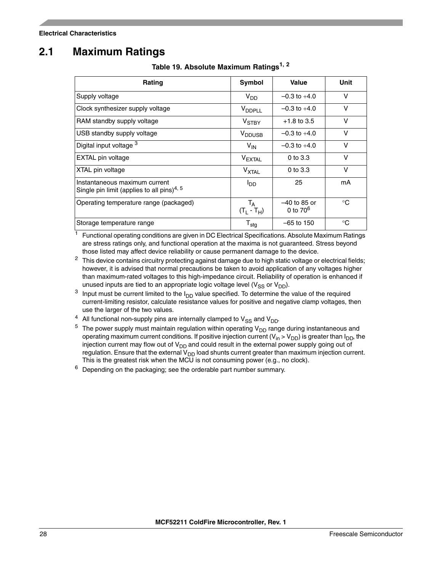# <span id="page-27-1"></span><span id="page-27-0"></span>**2.1 Maximum Ratings**

| Rating                                                                                  | Symbol                          | <b>Value</b>                  | Unit        |
|-----------------------------------------------------------------------------------------|---------------------------------|-------------------------------|-------------|
| Supply voltage                                                                          | $V_{DD}$                        | $-0.3$ to $+4.0$              | v           |
| Clock synthesizer supply voltage                                                        | V <sub>DDPLL</sub>              | $-0.3$ to $+4.0$              | v           |
| RAM standby supply voltage                                                              | V <sub>STBY</sub>               | $+1.8$ to 3.5                 | v           |
| USB standby supply voltage                                                              | <b>V</b> <sub>DDUSB</sub>       | $-0.3$ to $+4.0$              | v           |
| Digital input voltage 3                                                                 | $V_{IN}$                        | $-0.3$ to $+4.0$              | $\vee$      |
| EXTAL pin voltage                                                                       | <b>VEXTAL</b>                   | $0$ to $3.3$                  | $\vee$      |
| XTAL pin voltage                                                                        | V <sub>XTAL</sub>               | $0$ to $3.3$                  | v           |
| Instantaneous maximum current<br>Single pin limit (applies to all pins) <sup>4, 5</sup> | l <sub>DD</sub>                 | 25                            | mA          |
| Operating temperature range (packaged)                                                  | T <sub>A</sub><br>$(T_L - T_H)$ | $-40$ to 85 or<br>0 to $70^6$ | $^{\circ}C$ |
| Storage temperature range                                                               | $\mathsf{T}_{\mathsf{stg}}$     | $-65$ to 150                  | $^{\circ}C$ |

**Table 19. Absolute Maximum Ratings1, <sup>2</sup>**

<sup>1</sup> Functional operating conditions are given in DC Electrical Specifications. Absolute Maximum Ratings are stress ratings only, and functional operation at the maxima is not guaranteed. Stress beyond those listed may affect device reliability or cause permanent damage to the device.

 $2$  This device contains circuitry protecting against damage due to high static voltage or electrical fields; however, it is advised that normal precautions be taken to avoid application of any voltages higher than maximum-rated voltages to this high-impedance circuit. Reliability of operation is enhanced if unused inputs are tied to an appropriate logic voltage level ( $V_{SS}$  or  $V_{DD}$ ).

- <sup>3</sup> Input must be current limited to the  $I_{DD}$  value specified. To determine the value of the required current-limiting resistor, calculate resistance values for positive and negative clamp voltages, then use the larger of the two values.
- <sup>4</sup> All functional non-supply pins are internally clamped to  $V_{SS}$  and  $V_{DD}$ .<br><sup>5</sup> The nower supply must maintain requlation within operating  $V_{DD}$  range
- The power supply must maintain regulation within operating  $V_{DD}$  range during instantaneous and operating maximum current conditions. If positive injection current ( $V_{in} > V_{DD}$ ) is greater than  $I_{DD}$ , the injection current may flow out of  $V_{DD}$  and could result in the external power supply going out of regulation. Ensure that the external V<sub>DD</sub> load shunts current greater than maximum injection current. This is the greatest risk when the MCU is not consuming power (e.g., no clock).

 $6$  Depending on the packaging; see the orderable part number summary.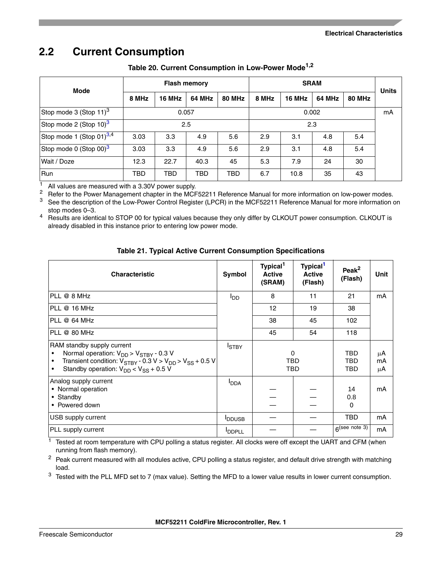# <span id="page-28-0"></span>**2.2 Current Consumption**

<span id="page-28-1"></span>

| <b>Mode</b>                          | <b>Flash memory</b> |            |        | <b>SRAM</b>   |       |        |        | <b>Units</b>  |    |
|--------------------------------------|---------------------|------------|--------|---------------|-------|--------|--------|---------------|----|
|                                      | 8 MHz               | 16 MHz     | 64 MHz | <b>80 MHz</b> | 8 MHz | 16 MHz | 64 MHz | <b>80 MHz</b> |    |
| Stop mode 3 (Stop 11) <sup>3</sup>   |                     | 0.057      |        |               | 0.002 |        |        |               | mA |
| Stop mode 2 (Stop 10) <sup>3</sup>   |                     | 2.5        |        |               | 2.3   |        |        |               |    |
| Stop mode 1 (Stop 01) <sup>3,4</sup> | 3.03                | 3.3        | 4.9    | 5.6           | 2.9   | 3.1    | 4.8    | 5.4           |    |
| Stop mode 0 (Stop 00) <sup>3</sup>   | 3.03                | 3.3        | 4.9    | 5.6           | 2.9   | 3.1    | 4.8    | 5.4           |    |
| Wait / Doze                          | 12.3                | 22.7       | 40.3   | 45            | 5.3   | 7.9    | 24     | 30            |    |
| Run                                  | <b>TBD</b>          | <b>TBD</b> | TBD    | <b>TBD</b>    | 6.7   | 10.8   | 35     | 43            |    |

### **Table 20. Current Consumption in Low-Power Mode1,2**

<sup>1</sup> All values are measured with a 3.30V power supply.<br><sup>2</sup> Bofor to the Bower Management chapter in the MCE

<sup>2</sup> Refer to the Power Management chapter in the MCF52211 Reference Manual for more information on low-power modes.<br><sup>3</sup> See the description of the Low-Power Control Begister (LPCB) in the MCF52211 Reference Manual for mor

<span id="page-28-4"></span>See the description of the Low-Power Control Register (LPCR) in the MCF52211 Reference Manual for more information on stop modes 0–3.

<sup>4</sup> Results are identical to STOP 00 for typical values because they only differ by CLKOUT power consumption. CLKOUT is already disabled in this instance prior to entering low power mode.

### **Table 21. Typical Active Current Consumption Specifications**

<span id="page-28-2"></span>

| <b>Characteristic</b>                                                                                                                                                                                                                           | Symbol                 | Typical <sup>1</sup><br><b>Active</b><br>(SRAM) | Typical <sup>1</sup><br><b>Active</b><br>(Flash) | Peak $^2$<br>(Flash)  | Unit           |
|-------------------------------------------------------------------------------------------------------------------------------------------------------------------------------------------------------------------------------------------------|------------------------|-------------------------------------------------|--------------------------------------------------|-----------------------|----------------|
| PLL @ 8 MHz                                                                                                                                                                                                                                     | <b>I</b> <sub>DD</sub> | 8                                               | 11                                               | 21                    | mA             |
| PLL @ 16 MHz                                                                                                                                                                                                                                    |                        | 12                                              | 19                                               | 38                    |                |
| PLL @ 64 MHz                                                                                                                                                                                                                                    |                        | 38                                              | 45                                               | 102                   |                |
| PLL @ 80 MHz                                                                                                                                                                                                                                    |                        | 45                                              | 54                                               | 118                   |                |
| RAM standby supply current<br>Normal operation: $V_{DD}$ > $V_{STBY}$ - 0.3 V<br>$\bullet$<br>Transient condition: $V_{STBY}$ - 0.3 V > $V_{DD}$ > $V_{SS}$ + 0.5 V<br>$\bullet$<br>Standby operation: $V_{DD}$ < $V_{SS}$ + 0.5 V<br>$\bullet$ | <b>I</b> STBY          | 0<br>TBD<br>TBD                                 |                                                  | TBD<br>TBD<br>TBD     | μA<br>mA<br>μA |
| Analog supply current<br>• Normal operation<br>• Standby<br>• Powered down                                                                                                                                                                      | <b>I</b> DDA           |                                                 |                                                  | 14<br>0.8<br>$\Omega$ | mA             |
| USB supply current                                                                                                                                                                                                                              | <b>IDDUSB</b>          |                                                 |                                                  | <b>TBD</b>            | mA             |
| PLL supply current                                                                                                                                                                                                                              | <b>IDDPLL</b>          |                                                 |                                                  | $6$ (see note 3)      | mA             |

<span id="page-28-3"></span> $1$  Tested at room temperature with CPU polling a status register. All clocks were off except the UART and CFM (when running from flash memory).

<sup>2</sup> Peak current measured with all modules active, CPU polling a status register, and default drive strength with matching load.

 $3$  Tested with the PLL MFD set to 7 (max value). Setting the MFD to a lower value results in lower current consumption.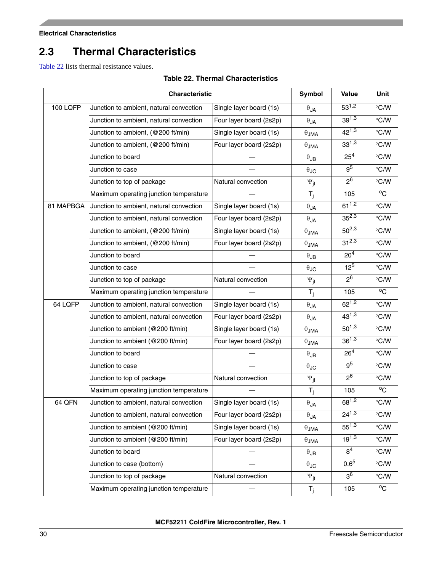# <span id="page-29-0"></span>**2.3 Thermal Characteristics**

<span id="page-29-1"></span>[Table 22](#page-29-1) lists thermal resistance values.

### **Table 22. Thermal Characteristics**

|           | Characteristic                          |                         | <b>Symbol</b>             | Value           | Unit                      |
|-----------|-----------------------------------------|-------------------------|---------------------------|-----------------|---------------------------|
| 100 LQFP  | Junction to ambient, natural convection | Single layer board (1s) | $\theta_{JA}$             | $53^{1,2}$      | $\degree$ C/W             |
|           | Junction to ambient, natural convection | Four layer board (2s2p) | $\theta_{JA}$             | $39^{1,3}$      | $\degree$ C/W             |
|           | Junction to ambient, (@200 ft/min)      | Single layer board (1s) | $\theta_{\mathsf{JMA}}$   | $42^{1,3}$      | $\degree$ C/W             |
|           | Junction to ambient, (@200 ft/min)      | Four layer board (2s2p) | $\theta$ JMA              | $33^{1,3}$      | $\degree$ C/W             |
|           | Junction to board                       |                         | $\theta_{\mathsf{JB}}$    | $25^{4}$        | $\degree$ C/W             |
|           | Junction to case                        |                         | $\theta$ JC               | 9 <sup>5</sup>  | $\degree$ C/W             |
|           | Junction to top of package              | Natural convection      | $\Psi_{jt}$               | 2 <sup>6</sup>  | $\degree$ C/W             |
|           | Maximum operating junction temperature  |                         | $T_i$                     | 105             | $^{\mathrm{o}}\mathrm{C}$ |
| 81 MAPBGA | Junction to ambient, natural convection | Single layer board (1s) | $\theta_{JA}$             | $61^{1,2}$      | $\degree$ C/W             |
|           | Junction to ambient, natural convection | Four layer board (2s2p) | $\theta_{JA}$             | $35^{2,3}$      | $\degree$ C/W             |
|           | Junction to ambient, (@200 ft/min)      | Single layer board (1s) | $\theta$ JMA              | $50^{2,3}$      | $\degree$ C/W             |
|           | Junction to ambient, (@200 ft/min)      | Four layer board (2s2p) | $\theta$ JMA              | $31^{2,3}$      | $\degree$ C/W             |
|           | Junction to board                       |                         | $\theta_{\text{JB}}$      | 20 <sup>4</sup> | $\degree$ C/W             |
|           | Junction to case                        |                         | $\theta_{\text{JC}}$      | $12^{5}$        | $\degree$ C/W             |
|           | Junction to top of package              | Natural convection      | $\Psi_{\text{it}}$        | $2^6$           | $\degree$ C/W             |
|           | Maximum operating junction temperature  |                         | $T_j$                     | 105             | $^{\circ}$ C              |
| 64 LQFP   | Junction to ambient, natural convection | Single layer board (1s) | $\theta_{JA}$             | $62^{1,2}$      | $\degree$ C/W             |
|           | Junction to ambient, natural convection | Four layer board (2s2p) | $\theta_{JA}$             | $43^{1,3}$      | $\degree$ C/W             |
|           | Junction to ambient (@200 ft/min)       | Single layer board (1s) | $\theta$ JMA              | $50^{1,3}$      | $\degree$ C/W             |
|           | Junction to ambient (@200 ft/min)       | Four layer board (2s2p) | $\theta$ JMA              | $36^{1,3}$      | $\degree$ C/W             |
|           | Junction to board                       |                         | $\theta_{\text{JB}}$      | $26^{4}$        | $\degree$ C/W             |
|           | Junction to case                        |                         | $\theta$ JC               | 9 <sup>5</sup>  | $\degree$ C/W             |
|           | Junction to top of package              | Natural convection      | $\Psi_{jt}$               | $2^6$           | $\degree$ C/W             |
|           | Maximum operating junction temperature  |                         | $T_j$                     | 105             | $^{\circ}$ C              |
| 64 QFN    | Junction to ambient, natural convection | Single layer board (1s) | $\theta_{JA}$             | $68^{1,2}$      | $\degree$ C/W             |
|           | Junction to ambient, natural convection | Four layer board (2s2p) | $\theta_{JA}$             | $24^{1,3}$      | $\degree$ C/W             |
|           | Junction to ambient (@200 ft/min)       | Single layer board (1s) | $\theta_{\mathsf{JMA}}$   | $55^{1,3}$      | $\degree$ C/W             |
|           | Junction to ambient (@200 ft/min)       | Four layer board (2s2p) | $\theta_{JMA}$            | $19^{1,3}$      | $\degree$ C/W             |
|           | Junction to board                       |                         | $\theta_{\mathsf{JB}}$    | 8 <sup>4</sup>  | $\degree$ C/W             |
|           | Junction to case (bottom)               |                         | $\theta$ JC               | $0.6^{5}$       | $\degree$ C/W             |
|           | Junction to top of package              | Natural convection      | $\Psi_{jt}$               | 3 <sup>6</sup>  | $\degree$ C/W             |
|           | Maximum operating junction temperature  |                         | $\mathsf{T}_{\mathsf{j}}$ | 105             | $^{\circ}$ C              |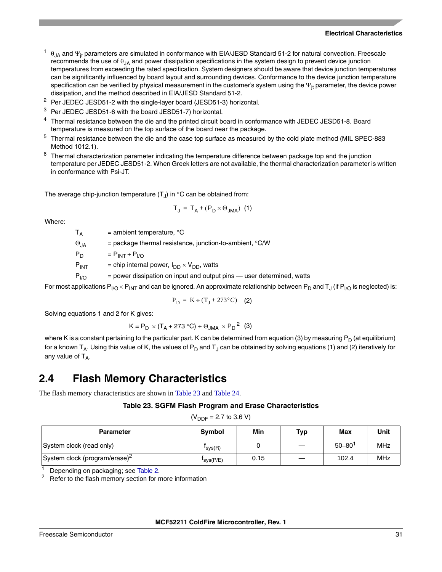- $\theta_{JA}$  and  $\Psi_{jt}$  parameters are simulated in conformance with EIA/JESD Standard 51-2 for natural convection. Freescale recommends the use of  $\theta_{JA}$  and power dissipation specifications in the system design to prevent device junction temperatures from exceeding the rated specification. System designers should be aware that device junction temperatures can be significantly influenced by board layout and surrounding devices. Conformance to the device junction temperature specification can be verified by physical measurement in the customer's system using the  $\Psi_{it}$  parameter, the device power dissipation, and the method described in EIA/JESD Standard 51-2.
- <sup>2</sup> Per JEDEC JESD51-2 with the single-layer board (JESD51-3) horizontal.
- <sup>3</sup> Per JEDEC JESD51-6 with the board JESD51-7) horizontal.
- <sup>4</sup> Thermal resistance between the die and the printed circuit board in conformance with JEDEC JESD51-8. Board temperature is measured on the top surface of the board near the package.
- <sup>5</sup> Thermal resistance between the die and the case top surface as measured by the cold plate method (MIL SPEC-883 Method 1012.1).
- $6$  Thermal characterization parameter indicating the temperature difference between package top and the junction temperature per JEDEC JESD51-2. When Greek letters are not available, the thermal characterization parameter is written in conformance with Psi-JT.

The average chip-junction temperature  $(T<sub>J</sub>)$  in  $^{\circ}$ C can be obtained from:

$$
T_J = T_A + (P_D \times \Theta_{JMA})
$$
 (1)

Where:

 $T_{\Delta}$  = ambient temperature,  $^{\circ}C$ 

 $\Theta_{1A}$  = package thermal resistance, junction-to-ambient, °C/W

 $P_D = P_{INT} + P_{I/O}$ 

 $P_{INT}$  = chip internal power,  $I_{DD} \times V_{DD}$ , watts

 $P_{U/O}$  = power dissipation on input and output pins — user determined, watts

For most applications  $P_{\text{IO}}$  <  $P_{\text{INI}}$  and can be ignored. An approximate relationship between  $P_{\text{D}}$  and  $T_{\text{I}}$  (if  $P_{\text{IO}}$  is neglected) is:

$$
P_D = K \div (T_J + 273^{\circ}C)
$$
 (2)

Solving equations 1 and 2 for K gives:

$$
K = P_D \times (T_A + 273 \,^{\circ}\text{C}) + \Theta_{JMA} \times P_D^2 \tag{3}
$$

where K is a constant pertaining to the particular part. K can be determined from equation (3) by measuring  $P_D$  (at equilibrium) for a known  $T_A$ . Using this value of K, the values of P<sub>D</sub> and T<sub>J</sub> can be obtained by solving equations (1) and (2) iteratively for any value of  $T_A$ .

### <span id="page-30-0"></span>**2.4 Flash Memory Characteristics**

<span id="page-30-1"></span>The flash memory characteristics are shown in [Table 23](#page-30-1) and [Table 24.](#page-31-2)

#### **Table 23. SGFM Flash Program and Erase Characteristics**

 $(V_{\text{DDF}} = 2.7 \text{ to } 3.6 \text{ V})$ 

| <b>Parameter</b>                          | <b>Symbol</b>         | Min  | Typ | Max                    | <b>Unit</b> |
|-------------------------------------------|-----------------------|------|-----|------------------------|-------------|
| System clock (read only)                  | I <sub>sys(R)</sub>   |      |     | $50 - 80$ <sup>1</sup> | MHz         |
| System clock (program/erase) <sup>2</sup> | $I_{\text{sys}(P/E)}$ | 0.15 |     | 102.4                  | MHz         |

<sup>1</sup> Depending on packaging; see [Table 2](#page-11-0).<br><sup>2</sup> Refer to the flash memory section for r

Refer to the flash memory section for more information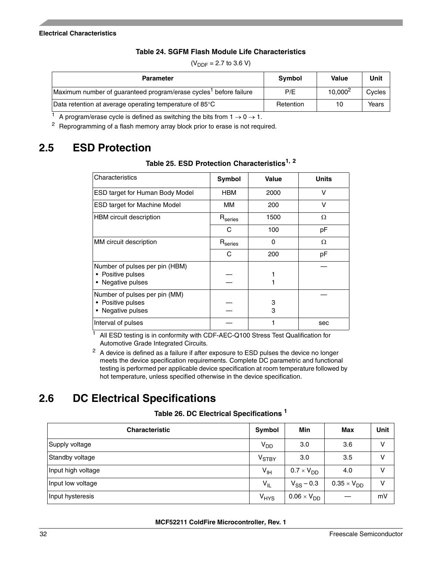### **Table 24. SGFM Flash Module Life Characteristics**

<span id="page-31-2"></span>

| <b>Parameter</b>                                                                                       | Symbol    | <b>Value</b>        | Unit   |
|--------------------------------------------------------------------------------------------------------|-----------|---------------------|--------|
| Maximum number of guaranteed program/erase cycles <sup>1</sup> before failure                          | P/E       | 10,000 <sup>2</sup> | Cycles |
| Data retention at average operating temperature of 85°C                                                | Retention | 10                  | Years  |
| $n$ is a set of $n \geq 0$ and $n \geq 0$ and $n \geq 0$ and $n \geq 0$ is the frequency in $n \geq 0$ |           |                     |        |

 $(V_{\text{DDF}} = 2.7 \text{ to } 3.6 \text{ V})$ 

A program/erase cycle is defined as switching the bits from  $1 \rightarrow 0 \rightarrow 1$ .

<sup>2</sup> Reprogramming of a flash memory array block prior to erase is not required.

# <span id="page-31-3"></span><span id="page-31-0"></span>**2.5 ESD Protection**

### **Table 25. ESD Protection Characteristics1, <sup>2</sup>**

| Characteristics                                                                   | <b>Symbol</b>       | Value    | <b>Units</b> |
|-----------------------------------------------------------------------------------|---------------------|----------|--------------|
| ESD target for Human Body Model                                                   | <b>HBM</b>          | 2000     | v            |
| <b>ESD target for Machine Model</b>                                               | ΜМ                  | 200      | V            |
| <b>HBM</b> circuit description                                                    | $R_{\rm series}$    | 1500     | Ω            |
|                                                                                   | С                   | 100      | рF           |
| MM circuit description                                                            | $R_{\text{series}}$ | $\Omega$ | Ω            |
|                                                                                   | C                   | 200      | pF           |
| Number of pulses per pin (HBM)<br>Positive pulses<br>Negative pulses<br>$\bullet$ |                     |          |              |
| Number of pulses per pin (MM)<br>Positive pulses<br>Negative pulses               |                     | 3<br>3   |              |
| Interval of pulses                                                                |                     |          | sec          |

 $1$  All ESD testing is in conformity with CDF-AEC-Q100 Stress Test Qualification for Automotive Grade Integrated Circuits.

 $2$  A device is defined as a failure if after exposure to ESD pulses the device no longer meets the device specification requirements. Complete DC parametric and functional testing is performed per applicable device specification at room temperature followed by hot temperature, unless specified otherwise in the device specification.

# <span id="page-31-1"></span>**2.6 DC Electrical Specifications**

### **Table 26. DC Electrical Specifications <sup>1</sup>**

<span id="page-31-4"></span>

| <b>Characteristic</b> | Symbol                      | Min                  | Max                  | <b>Unit</b> |
|-----------------------|-----------------------------|----------------------|----------------------|-------------|
| Supply voltage        | $V_{DD}$                    | 3.0                  | 3.6                  | v           |
| Standby voltage       | $V_{\footnotesize\rm STBY}$ | 3.0                  | 3.5                  | v           |
| Input high voltage    | $V_{\text{IH}}$             | $0.7 \times V_{DD}$  | 4.0                  | v           |
| Input low voltage     | $V_{IL}$                    | $V_{SS}$ – 0.3       | $0.35 \times V_{DD}$ | v           |
| Input hysteresis      | <b>V<sub>HYS</sub></b>      | $0.06 \times V_{DD}$ |                      | mV          |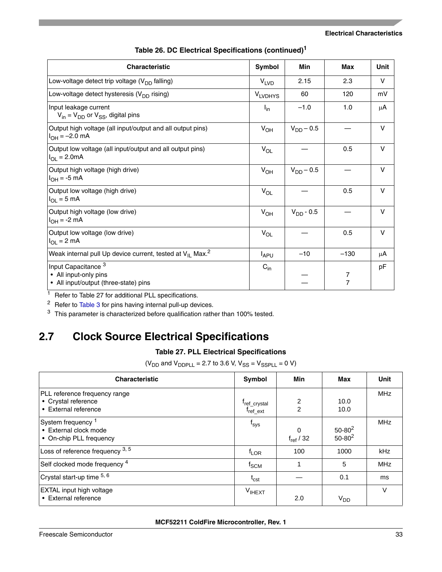| <b>Characteristic</b>                                                                            | <b>Symbol</b>          | Min            | <b>Max</b>          | Unit   |
|--------------------------------------------------------------------------------------------------|------------------------|----------------|---------------------|--------|
| Low-voltage detect trip voltage $(V_{DD}$ falling)                                               | <b>V<sub>LVD</sub></b> | 2.15           | 2.3                 | v      |
| Low-voltage detect hysteresis $(V_{DD}$ rising)                                                  | <b>VLVDHYS</b>         | 60             | 120                 | mV     |
| Input leakage current<br>$V_{in} = V_{DD}$ or $V_{SS}$ , digital pins                            | $I_{in}$               | $-1.0$         | 1.0                 | μA     |
| Output high voltage (all input/output and all output pins)<br>$I_{OH} = -2.0$ mA                 | $V_{OH}$               | $V_{DD} - 0.5$ |                     | v      |
| Output low voltage (all input/output and all output pins)<br>$I_{OL} = 2.0mA$                    | $V_{OL}$               |                | 0.5                 | $\vee$ |
| Output high voltage (high drive)<br>$I_{OH} = -5$ mA                                             | $V_{OH}$               | $V_{DD} - 0.5$ |                     | v      |
| Output low voltage (high drive)<br>$I_{OL} = 5$ mA                                               | $V_{OL}$               |                | 0.5                 | v      |
| Output high voltage (low drive)<br>$I_{OH} = -2$ mA                                              | $V_{OH}$               | $V_{DD} - 0.5$ |                     | v      |
| Output low voltage (low drive)<br>$I_{OL}$ = 2 mA                                                | $V_{OL}$               |                | 0.5                 | v      |
| Weak internal pull Up device current, tested at $V_{II}$ Max. <sup>2</sup>                       | $I_{APU}$              | $-10$          | $-130$              | μA     |
| Input Capacitance <sup>3</sup><br>• All input-only pins<br>• All input/output (three-state) pins | $C_{in}$               |                | 7<br>$\overline{7}$ | рF     |

### **Table 26. DC Electrical Specifications (continued)<sup>1</sup>**

<sup>1</sup> Refer to [Table 27](#page-32-1) for additional PLL specifications.

<sup>2</sup> Refer to [Table 3](#page-16-0) for pins having internal pull-up devices.

<sup>3</sup> This parameter is characterized before qualification rather than 100% tested.

# <span id="page-32-1"></span><span id="page-32-0"></span>**2.7 Clock Source Electrical Specifications**

### **Table 27. PLL Electrical Specifications**

 $(V_{DD}$  and  $V_{DDPLL}$  = 2.7 to 3.6 V,  $V_{SS}$  =  $V_{SSPLL}$  = 0 V)

| <b>Characteristic</b>                                                             | Symbol                                     | Min                        | Max                        | <b>Unit</b> |
|-----------------------------------------------------------------------------------|--------------------------------------------|----------------------------|----------------------------|-------------|
| PLL reference frequency range<br>• Crystal reference<br>• External reference      | <sup>T</sup> ref_crystal<br>$f_{ref\_ext}$ | 2<br>$\overline{2}$        | 10.0<br>10.0               | <b>MHz</b>  |
| System frequency <sup>1</sup><br>• External clock mode<br>• On-chip PLL frequency | $f_{sys}$                                  | $\Omega$<br>$f_{ref}$ / 32 | $50 - 80^2$<br>$50 - 80^2$ | <b>MHz</b>  |
| Loss of reference frequency 3, 5                                                  | $f_{\text{LOR}}$                           | 100                        | 1000                       | kHz         |
| Self clocked mode frequency 4                                                     | $f_{\rm SCM}$                              |                            | 5                          | <b>MHz</b>  |
| Crystal start-up time 5, 6                                                        | $t_{\text{cst}}$                           |                            | 0.1                        | ms          |
| <b>EXTAL</b> input high voltage<br>• External reference                           | VIHEXT                                     | 2.0                        | V <sub>DD</sub>            | $\vee$      |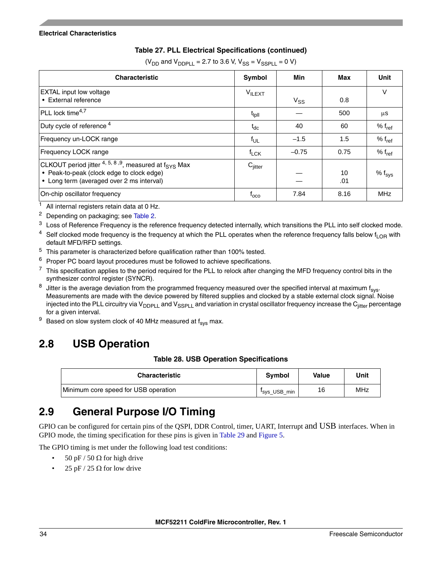### **Table 27. PLL Electrical Specifications (continued)**

| (V <sub>DD</sub> and V <sub>DDPLL</sub> = 2.7 to 3.6 V, V <sub>SS</sub> = V <sub>SSPLL</sub> = 0 V) |
|-----------------------------------------------------------------------------------------------------|
|-----------------------------------------------------------------------------------------------------|

| <b>Characteristic</b>                                                                                                                                                  | Symbol              | Min      | Max       | Unit               |
|------------------------------------------------------------------------------------------------------------------------------------------------------------------------|---------------------|----------|-----------|--------------------|
| <b>EXTAL</b> input low voltage<br>• External reference                                                                                                                 | V <sub>ILEXT</sub>  | $V_{SS}$ | 0.8       | V                  |
| PLL lock time <sup>4,7</sup>                                                                                                                                           | t <sub>ipli</sub>   |          | 500       | μS                 |
| Duty cycle of reference <sup>4</sup>                                                                                                                                   | $t_{dc}$            | 40       | 60        | % $f_{ref}$        |
| Frequency un-LOCK range                                                                                                                                                | $f_{UL}$            | $-1.5$   | 1.5       | % $f_{ref}$        |
| Frequency LOCK range                                                                                                                                                   | $f_{LCK}$           | $-0.75$  | 0.75      | % $f_{ref}$        |
| CLKOUT period jitter <sup>4, 5, 8,9</sup> , measured at f <sub>SYS</sub> Max<br>• Peak-to-peak (clock edge to clock edge)<br>• Long term (averaged over 2 ms interval) | $C_{\text{litter}}$ |          | 10<br>.01 | % f <sub>sys</sub> |
| On-chip oscillator frequency                                                                                                                                           | $I_{\rm OCO}$       | 7.84     | 8.16      | <b>MHz</b>         |

 $1$  All internal registers retain data at 0 Hz.

<span id="page-33-3"></span><sup>2</sup> Depending on packaging; see [Table 2](#page-11-0).

- <sup>3</sup> Loss of Reference Frequency is the reference frequency detected internally, which transitions the PLL into self clocked mode.
- <sup>4</sup> Self clocked mode frequency is the frequency at which the PLL operates when the reference frequency falls below  $f_{\text{I}}$ <sub>OR</sub> with default MFD/RFD settings.
- <span id="page-33-4"></span><sup>5</sup> This parameter is characterized before qualification rather than 100% tested.
- $6$  Proper PC board layout procedures must be followed to achieve specifications.
- $7$  This specification applies to the period required for the PLL to relock after changing the MFD frequency control bits in the synthesizer control register (SYNCR).
- $8$  Jitter is the average deviation from the programmed frequency measured over the specified interval at maximum f<sub>sys</sub>. Measurements are made with the device powered by filtered supplies and clocked by a stable external clock signal. Noise injected into the PLL circuitry via  $V_{DDPLL}$  and  $V_{SSPLL}$  and variation in crystal oscillator frequency increase the  $C_{iitter}$  percentage for a given interval.
- $9$  Based on slow system clock of 40 MHz measured at  $f_{sys}$  max.

# <span id="page-33-2"></span><span id="page-33-0"></span>**2.8 USB Operation**

### **Table 28. USB Operation Specifications**

| <b>Characteristic</b>                | <b>Symbol</b>            | Value | Unit |
|--------------------------------------|--------------------------|-------|------|
| Minimum core speed for USB operation | <sup>I</sup> sys_USB_min | 16    | MHz  |

# <span id="page-33-1"></span>**2.9 General Purpose I/O Timing**

GPIO can be configured for certain pins of the QSPI, DDR Control, timer, UART, Interrupt and USB interfaces. When in GPIO mode, the timing specification for these pins is given in [Table 29](#page-34-3) and [Figure 5.](#page-34-1)

The GPIO timing is met under the following load test conditions:

- 50 pF / 50  $\Omega$  for high drive
- 25 pF / 25  $\Omega$  for low drive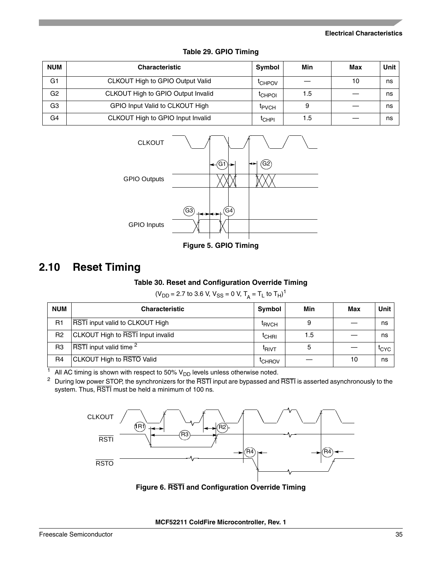<span id="page-34-3"></span>

| <b>NUM</b>     | <b>Characteristic</b>              | Symbol             | Min | Max | Unit |
|----------------|------------------------------------|--------------------|-----|-----|------|
| G <sub>1</sub> | CLKOUT High to GPIO Output Valid   | <sup>I</sup> CHPOV |     | 10  | ns   |
| G <sub>2</sub> | CLKOUT High to GPIO Output Invalid | <sup>I</sup> CHPOI | 1.5 |     | ns   |
| G <sub>3</sub> | GPIO Input Valid to CLKOUT High    | <b>IPVCH</b>       |     |     | ns   |
| G <sub>4</sub> | CLKOUT High to GPIO Input Invalid  | <sup>I</sup> CHPI  | 1.5 |     | ns   |





**Figure 5. GPIO Timing**

# <span id="page-34-4"></span><span id="page-34-1"></span><span id="page-34-0"></span>**2.10 Reset Timing**

### **Table 30. Reset and Configuration Override Timing**

 $(V_{DD} = 2.7 \text{ to } 3.6 \text{ V}, V_{SS} = 0 \text{ V}, T_A = T_L \text{ to } T_H)^1$ 

| <b>NUM</b>     | <b>Characteristic</b>              | Symbol             | Min | Max | Unit                 |
|----------------|------------------------------------|--------------------|-----|-----|----------------------|
| R <sub>1</sub> | RSTI input valid to CLKOUT High    | <sup>I</sup> RVCH  | 9   |     | ns                   |
| R <sub>2</sub> | CLKOUT High to RSTI Input invalid  | <sup>L</sup> CHRI  | 1.5 |     | ns                   |
| R <sub>3</sub> | RSTI input valid time <sup>2</sup> | <sup>I</sup> RIVT  | 5   |     | $\iota_{\text{CYC}}$ |
| R <sub>4</sub> | <b>CLKOUT High to RSTO Valid</b>   | <sup>L</sup> CHROV |     | 10  | ns                   |

 $1$  All AC timing is shown with respect to 50%  $V_{DD}$  levels unless otherwise noted.

 $2$  During low power STOP, the synchronizers for the  $\overline{\text{RSTl}}$  input are bypassed and  $\overline{\text{RSTl}}$  is asserted asynchronously to the system. Thus, RSTI must be held a minimum of 100 ns.

<span id="page-34-2"></span>

**Figure 6. RSTI and Configuration Override Timing**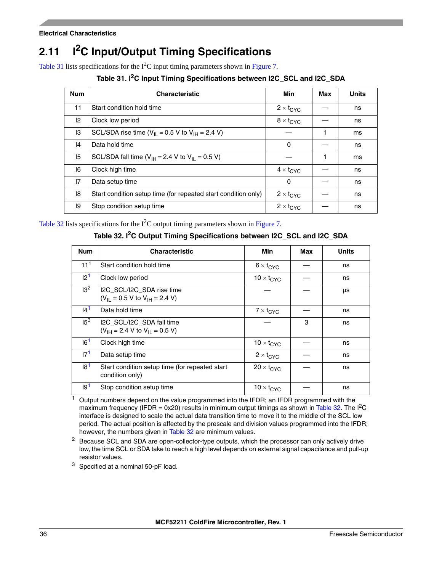# <span id="page-35-0"></span>**2.11 I2C Input/Output Timing Specifications**

<span id="page-35-1"></span>[Table 31](#page-35-1) lists specifications for the  $I<sup>2</sup>C$  input timing parameters shown in [Figure 7.](#page-36-1)

**Table 31. I2C Input Timing Specifications between I2C\_SCL and I2C\_SDA**

| <b>Num</b> | <b>Characteristic</b>                                                   | Min                       | Max | <b>Units</b> |
|------------|-------------------------------------------------------------------------|---------------------------|-----|--------------|
| 11         | Start condition hold time                                               | $2 \times t_{\text{CYC}}$ |     | ns           |
| 12         | Clock low period                                                        | $8 \times t_{\text{CYC}}$ |     | ns           |
| 13         | SCL/SDA rise time ( $V_{II}$ = 0.5 V to $V_{IH}$ = 2.4 V)               |                           | 1   | ms           |
| 4          | Data hold time                                                          | 0                         |     | ns           |
| 15         | SCL/SDA fall time ( $V_{\text{IH}}$ = 2.4 V to $V_{\text{II}}$ = 0.5 V) |                           | 1   | ms           |
| 16         | Clock high time                                                         | $4 \times t_{\text{CYC}}$ |     | ns           |
| 17         | Data setup time                                                         | 0                         |     | ns           |
| 18         | Start condition setup time (for repeated start condition only)          | $2 \times t_{CYC}$        |     | ns           |
| 19         | Stop condition setup time                                               | $2 \times t_{CYC}$        |     | ns           |

<span id="page-35-2"></span>[Table 32](#page-35-2) lists specifications for the  $I<sup>2</sup>C$  output timing parameters shown in [Figure 7.](#page-36-1)

**Table 32. I2C Output Timing Specifications between I2C\_SCL and I2C\_SDA**

| <b>Num</b>      | <b>Characteristic</b>                                                              | Min                 | Max | <b>Units</b> |
|-----------------|------------------------------------------------------------------------------------|---------------------|-----|--------------|
| 11 <sup>1</sup> | Start condition hold time                                                          | $6 \times t_{CYC}$  |     | ns           |
| 12 <sup>1</sup> | Clock low period                                                                   | $10 \times t_{CYC}$ |     | ns           |
| 13 <sup>2</sup> | I2C_SCL/I2C_SDA rise time<br>$(V_{\text{II}} = 0.5 V$ to $V_{\text{IH}} = 2.4 V$ ) |                     |     | μs           |
| I4 <sup>1</sup> | Data hold time                                                                     | $7 \times t_{CYC}$  |     | ns           |
| 15 <sup>3</sup> | I2C_SCL/I2C_SDA fall time<br>$(V_{\text{IH}} = 2.4 V$ to $V_{\text{II}} = 0.5 V$ ) |                     | 3   | ns           |
| 16 <sup>1</sup> | Clock high time                                                                    | $10 \times t_{CYC}$ |     | ns           |
| 17 <sup>1</sup> | Data setup time                                                                    | $2 \times t_{CYC}$  |     | ns           |
| 18 <sup>1</sup> | Start condition setup time (for repeated start<br>condition only)                  | $20 \times t_{CYC}$ |     | ns           |
| 19 <sup>1</sup> | Stop condition setup time                                                          | $10 \times t_{CYC}$ |     | ns           |

<span id="page-35-3"></span> $<sup>1</sup>$  Output numbers depend on the value programmed into the IFDR; an IFDR programmed with the</sup> maximum frequency (IFDR =  $0x20$ ) results in minimum output timings as shown in [Table 32.](#page-35-2) The  $I<sup>2</sup>C$ interface is designed to scale the actual data transition time to move it to the middle of the SCL low period. The actual position is affected by the prescale and division values programmed into the IFDR; however, the numbers given in [Table 32](#page-35-2) are minimum values.

<sup>2</sup> Because SCL and SDA are open-collector-type outputs, which the processor can only actively drive low, the time SCL or SDA take to reach a high level depends on external signal capacitance and pull-up resistor values.

<sup>3</sup> Specified at a nominal 50-pF load.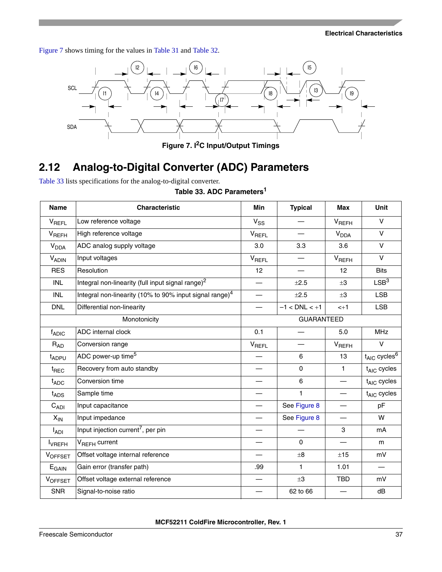[Figure 7](#page-36-1) shows timing for the values in [Table 31](#page-35-1) and [Table 32.](#page-35-2)



**Figure 7. I2C Input/Output Timings**

# <span id="page-36-1"></span><span id="page-36-0"></span>**2.12 Analog-to-Digital Converter (ADC) Parameters**

<span id="page-36-2"></span>[Table 33](#page-36-2) lists specifications for the analog-to-digital converter.

|  |  |  | Table 33. ADC Parameters <sup>1</sup> |  |
|--|--|--|---------------------------------------|--|
|--|--|--|---------------------------------------|--|

| <b>Name</b>            | <b>Characteristic</b>                                      | Min                      | <b>Typical</b>    | <b>Max</b>             | <b>Unit</b>                   |
|------------------------|------------------------------------------------------------|--------------------------|-------------------|------------------------|-------------------------------|
| VREFL                  | Low reference voltage                                      | $V_{SS}$                 |                   | $V_{REFH}$             | $\vee$                        |
| VREFH                  | High reference voltage                                     | <b>V<sub>REFL</sub></b>  |                   | <b>V<sub>DDA</sub></b> | V                             |
| <b>V<sub>DDA</sub></b> | ADC analog supply voltage                                  | 3.0                      | 3.3               | 3.6                    | $\vee$                        |
| <b>VADIN</b>           | Input voltages                                             | VREFL                    |                   | $V_{REFH}$             | $\vee$                        |
| <b>RES</b>             | Resolution                                                 | 12                       |                   | 12                     | <b>Bits</b>                   |
| <b>INL</b>             | Integral non-linearity (full input signal range) $2$       | $\overline{\phantom{0}}$ | ±2.5              | $\pm 3$                | LSB <sup>3</sup>              |
| <b>INL</b>             | Integral non-linearity (10% to 90% input signal range) $4$ |                          | ±2.5              | $\pm 3$                | <b>LSB</b>                    |
| <b>DNL</b>             | Differential non-linearity                                 | $\overline{\phantom{0}}$ | $-1 <$ DNL $< +1$ | $< +1$                 | <b>LSB</b>                    |
|                        | Monotonicity                                               | <b>GUARANTEED</b>        |                   |                        |                               |
| $f_{ADIC}$             | ADC internal clock                                         | 0.1                      |                   | 5.0                    | <b>MHz</b>                    |
| $R_{AD}$               | Conversion range                                           | $V_{REFL}$               |                   | $V_{REFH}$             | $\vee$                        |
| t <sub>ADPU</sub>      | ADC power-up time <sup>5</sup>                             |                          | 6                 | 13                     | $t_{AIC}$ cycles <sup>6</sup> |
| t <sub>REC</sub>       | Recovery from auto standby                                 |                          | 0                 | $\mathbf{1}$           | $t_{AIC}$ cycles              |
| $t_{ADC}$              | Conversion time                                            | —                        | 6                 |                        | $t_{AIC}$ cycles              |
| $t_{\text{ADS}}$       | Sample time                                                |                          | 1                 |                        | $t_{AIC}$ cycles              |
| $C_{ADI}$              | Input capacitance                                          | $\overline{\phantom{0}}$ | See Figure 8      |                        | pF                            |
| $X_{IN}$               | Input impedance                                            |                          | See Figure 8      |                        | W                             |
| l <sub>ADI</sub>       | Input injection current <sup>7</sup> , per pin             |                          |                   | 3                      | mA                            |
| <b>I</b> VREFH         | V <sub>RFFH</sub> current                                  |                          | $\mathbf 0$       |                        | m                             |
| VOFFSET                | Offset voltage internal reference                          |                          | $\pm 8$           | ±15                    | mV                            |
| $E_{\text{GAIN}}$      | Gain error (transfer path)                                 | .99                      | 1                 | 1.01                   |                               |
| VOFFSET                | Offset voltage external reference                          | $\overline{\phantom{0}}$ | $\pm 3$           | <b>TBD</b>             | mV                            |
| <b>SNR</b>             | Signal-to-noise ratio                                      |                          | 62 to 66          |                        | dB                            |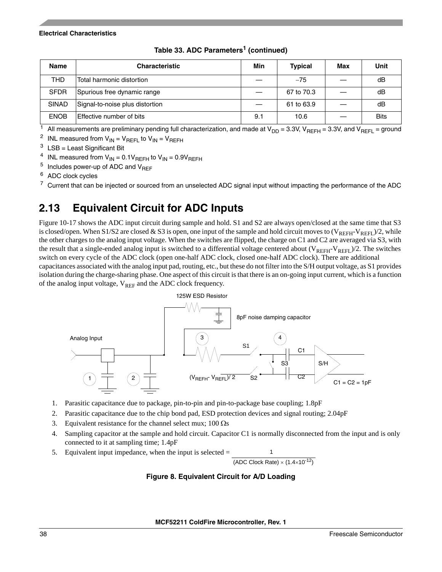| <b>Name</b>  | <b>Characteristic</b>           | Min | <b>Typical</b> | Max | Unit        |
|--------------|---------------------------------|-----|----------------|-----|-------------|
| THD          | Total harmonic distortion       |     | $-75$          |     | dB          |
| <b>SFDR</b>  | Spurious free dynamic range     |     | 67 to 70.3     |     | dB          |
| <b>SINAD</b> | Signal-to-noise plus distortion |     | 61 to 63.9     |     | dB          |
| <b>ENOB</b>  | Effective number of bits        | 9.1 | 10.6           |     | <b>Bits</b> |

**Table 33. ADC Parameters1 (continued)**

 $\frac{1}{1}$  All measurements are preliminary pending full characterization, and made at V<sub>DD</sub> = 3.3V, V<sub>REFH</sub> = 3.3V, and V<sub>REFL</sub> = ground

<sup>2</sup> INL measured from  $V_{IN} = V_{REFL}$  to  $V_{IN} = V_{REFH}$ 

 $3$  LSB = Least Significant Bit

<sup>4</sup> INL measured from  $V_{IN} = 0.1V_{REFH}$  to  $V_{IN} = 0.9V_{REFH}$ 

 $5$  Includes power-up of ADC and  $V_{\text{RFF}}$ 

<sup>6</sup> ADC clock cycles

 $7$  Current that can be injected or sourced from an unselected ADC signal input without impacting the performance of the ADC

# <span id="page-37-0"></span>**2.13 Equivalent Circuit for ADC Inputs**

Figure 10-17 shows the ADC input circuit during sample and hold. S1 and S2 are always open/closed at the same time that S3 is closed/open. When S1/S2 are closed & S3 is open, one input of the sample and hold circuit moves to  $(V_{REFH}-V_{REFH})/2$ , while the other charges to the analog input voltage. When the switches are flipped, the charge on C1 and C2 are averaged via S3, with the result that a single-ended analog input is switched to a differential voltage centered about  $(V_{REFH}-V_{REFL})/2$ . The switches switch on every cycle of the ADC clock (open one-half ADC clock, closed one-half ADC clock). There are additional capacitances associated with the analog input pad, routing, etc., but these do not filter into the S/H output voltage, as S1 provides isolation during the charge-sharing phase. One aspect of this circuit is that there is an on-going input current, which is a function of the analog input voltage,  $V_{REF}$  and the ADC clock frequency.



- 1. Parasitic capacitance due to package, pin-to-pin and pin-to-package base coupling; 1.8pF
- 2. Parasitic capacitance due to the chip bond pad, ESD protection devices and signal routing; 2.04pF
- 3. Equivalent resistance for the channel select mux;  $100 \Omega$ s
- 4. Sampling capacitor at the sample and hold circuit. Capacitor C1 is normally disconnected from the input and is only connected to it at sampling time; 1.4pF
- <span id="page-37-1"></span>5. Equivalent input impedance, when the input is selected = 1

(ADC Clock Rate)  $\times$  (1.4 $\times$ 10<sup>-12</sup>)

### **Figure 8. Equivalent Circuit for A/D Loading**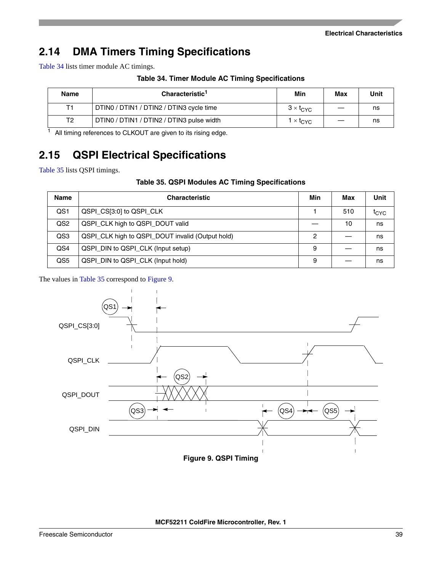# <span id="page-38-0"></span>**2.14 DMA Timers Timing Specifications**

<span id="page-38-3"></span>[Table 34](#page-38-3) lists timer module AC timings.

**Table 34. Timer Module AC Timing Specifications**

| Name           | Characteristic <sup>1</sup>               | Min                              | Max | Unit |
|----------------|-------------------------------------------|----------------------------------|-----|------|
| Τ1             | DTINO / DTIN1 / DTIN2 / DTIN3 cycle time  | $3 \times t_{\text{CYC}}$        |     | ns   |
| T <sub>2</sub> | DTINO / DTIN1 / DTIN2 / DTIN3 pulse width | $1 \times \text{t}_{\text{CVC}}$ |     | ns   |

<sup>1</sup> All timing references to CLKOUT are given to its rising edge.

# <span id="page-38-1"></span>**2.15 QSPI Electrical Specifications**

<span id="page-38-4"></span>[Table 35](#page-38-4) lists QSPI timings.

### **Table 35. QSPI Modules AC Timing Specifications**

| <b>Name</b>     | <b>Characteristic</b>                            | Min | Max | Unit             |
|-----------------|--------------------------------------------------|-----|-----|------------------|
| QS1             | QSPI_CS[3:0] to QSPI_CLK                         |     | 510 | t <sub>CYC</sub> |
| QS <sub>2</sub> | QSPI_CLK high to QSPI_DOUT valid                 |     | 10  | ns               |
| QS3             | QSPI_CLK high to QSPI_DOUT invalid (Output hold) | 2   |     | ns               |
| QS4             | QSPI_DIN to QSPI_CLK (Input setup)               | 9   |     | ns               |
| QS5             | QSPI DIN to QSPI CLK (Input hold)                | 9   |     | ns               |

The values in [Table 35](#page-38-4) correspond to [Figure 9](#page-38-2).

<span id="page-38-2"></span>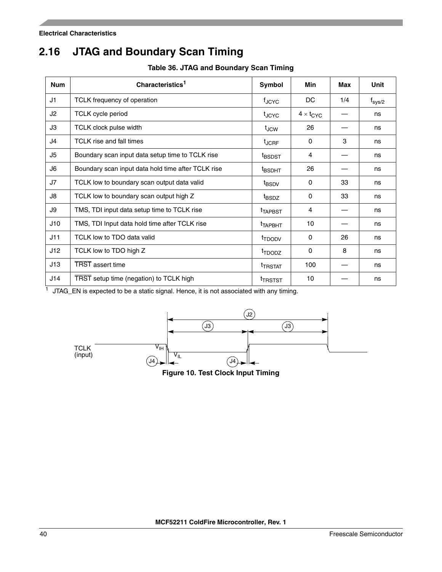# <span id="page-39-0"></span>**2.16 JTAG and Boundary Scan Timing**

**Table 36. JTAG and Boundary Scan Timing**

<span id="page-39-2"></span>

| <b>Num</b> | Characteristics <sup>1</sup>                       | Symbol              | Min                | Max | <b>Unit</b>     |
|------------|----------------------------------------------------|---------------------|--------------------|-----|-----------------|
| J1         | TCLK frequency of operation                        | $f_{\rm JCYC}$      | DC.                | 1/4 | $f_{\rm sys/2}$ |
| J2         | <b>TCLK</b> cycle period                           | t <sub>JCYC</sub>   | $4 \times t_{CYC}$ |     | ns              |
| JЗ         | <b>TCLK clock pulse width</b>                      | $t_{JCW}$           | 26                 |     | ns              |
| J4         | TCLK rise and fall times                           | $t_{\sf JCRF}$      | 0                  | 3   | ns              |
| J5         | Boundary scan input data setup time to TCLK rise   | <sup>t</sup> BSDST  | 4                  |     | ns              |
| J6         | Boundary scan input data hold time after TCLK rise | <sup>t</sup> BSDHT  | 26                 |     | ns              |
| J7         | TCLK low to boundary scan output data valid        | <sup>t</sup> BSDV   | $\Omega$           | 33  | ns              |
| J8         | TCLK low to boundary scan output high Z            | t <sub>BSDZ</sub>   | $\Omega$           | 33  | ns              |
| J9         | TMS, TDI input data setup time to TCLK rise        | <sup>t</sup> TAPBST | 4                  |     | ns              |
| J10        | TMS, TDI Input data hold time after TCLK rise      | <sup>t</sup> TAPBHT | 10                 |     | ns              |
| J11        | TCLK low to TDO data valid                         | <sup>t</sup> TDODV  | 0                  | 26  | ns              |
| J12        | TCLK low to TDO high Z                             | <sup>t</sup> TDODZ  | $\Omega$           | 8   | ns              |
| J13        | <b>TRST</b> assert time                            | <sup>t</sup> TRSTAT | 100                |     | ns              |
| J14        | TRST setup time (negation) to TCLK high            | <sup>t</sup> TRSTST | 10                 |     | ns              |

 $1$  JTAG\_EN is expected to be a static signal. Hence, it is not associated with any timing.

<span id="page-39-1"></span>

**Figure 10. Test Clock Input Timing**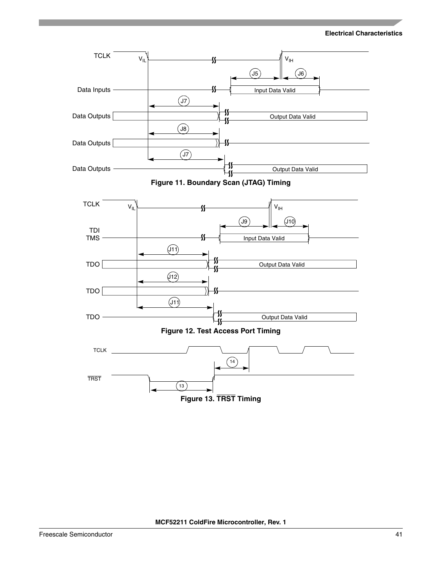<span id="page-40-2"></span><span id="page-40-1"></span><span id="page-40-0"></span>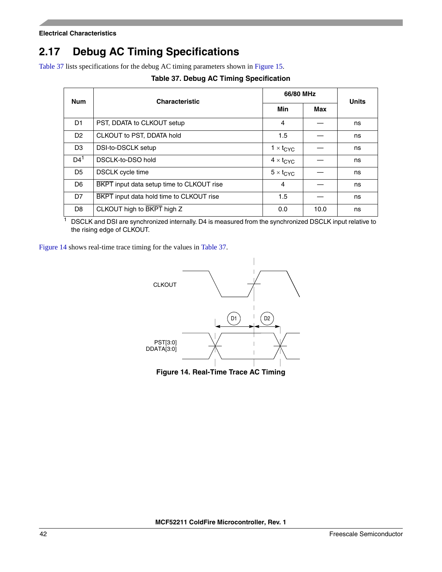# <span id="page-41-0"></span>**2.17 Debug AC Timing Specifications**

<span id="page-41-2"></span>[Table 37](#page-41-2) lists specifications for the debug AC timing parameters shown in [Figure 15.](#page-42-0)

| <b>Num</b>      | <b>Characteristic</b>                     | 66/80 MHz                 |      | <b>Units</b> |  |
|-----------------|-------------------------------------------|---------------------------|------|--------------|--|
|                 |                                           | Min                       | Max  |              |  |
| D1              | PST, DDATA to CLKOUT setup                | $\overline{4}$            |      | ns           |  |
| D <sub>2</sub>  | CLKOUT to PST, DDATA hold                 | 1.5                       |      | ns           |  |
| D <sub>3</sub>  | DSI-to-DSCLK setup                        | $1 \times t_{\text{CYC}}$ |      | ns           |  |
| D4 <sup>1</sup> | DSCLK-to-DSO hold                         | $4 \times t_{CYC}$        |      | ns           |  |
| D <sub>5</sub>  | <b>DSCLK</b> cycle time                   | $5 \times t_{CYC}$        |      | ns           |  |
| D <sub>6</sub>  | BKPT input data setup time to CLKOUT rise | 4                         |      | ns           |  |
| D <sub>7</sub>  | BKPT input data hold time to CLKOUT rise  | 1.5                       |      | ns           |  |
| D <sub>8</sub>  | CLKOUT high to BKPT high Z                | 0.0                       | 10.0 | ns           |  |

### **Table 37. Debug AC Timing Specification**

<sup>1</sup> DSCLK and DSI are synchronized internally. D4 is measured from the synchronized DSCLK input relative to the rising edge of CLKOUT.

[Figure 14](#page-41-1) shows real-time trace timing for the values in [Table 37](#page-41-2).



<span id="page-41-1"></span>**Figure 14. Real-Time Trace AC Timing**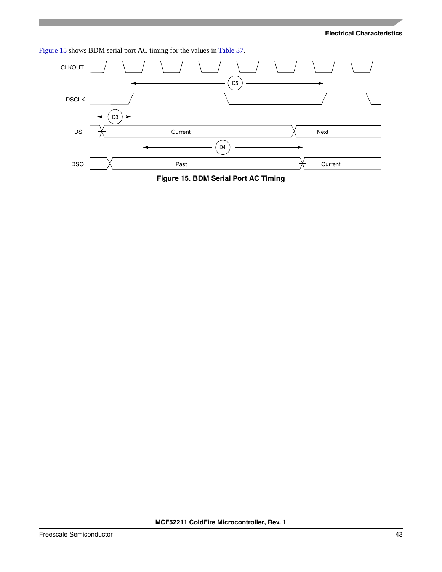[Figure 15](#page-42-0) shows BDM serial port AC timing for the values in [Table 37](#page-41-2).



<span id="page-42-0"></span>**Figure 15. BDM Serial Port AC Timing**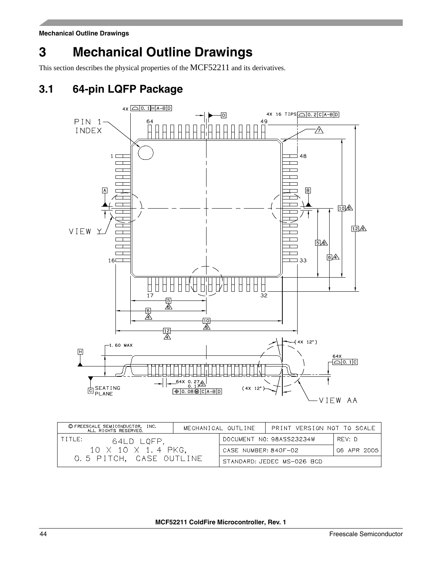# <span id="page-43-0"></span>**3 Mechanical Outline Drawings**

This section describes the physical properties of the MCF52211 and its derivatives.

# <span id="page-43-1"></span>**3.1 64-pin LQFP Package**



| © FREESCALE SEMICONDUCTOR, INC.<br>ALL RIGHTS RESERVED. |                                     | MECHANICAL OUTLINE<br>PRINT VERSION NOT TO SCALE |                            |  |
|---------------------------------------------------------|-------------------------------------|--------------------------------------------------|----------------------------|--|
| TITLE:<br>64LD LQFP.                                    |                                     | DOCUMENT NO: 98ASS23234W<br>RFV: D               |                            |  |
| 10 X 10 X 1.4 PKG,                                      | CASE NUMBER: 840F-02<br>06 APR 2005 |                                                  |                            |  |
| 0.5 PITCH. CASE OUTLINE                                 |                                     |                                                  | STANDARD: JEDEC MS-026 BCD |  |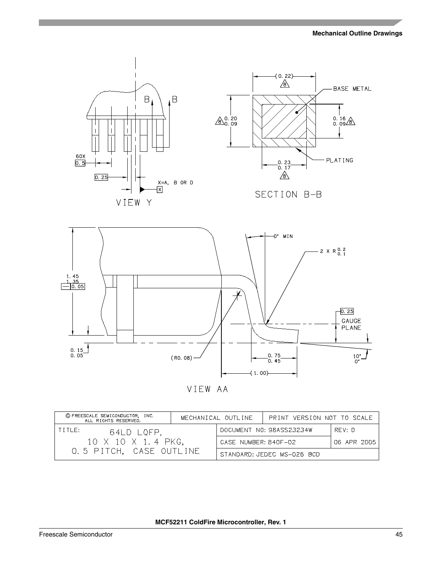

VIEW AA

| © FREESCALE SEMICONDUCTOR, INC.<br>ALL RIGHTS RESERVED. |                                     | MECHANICAL OUTLINE       | PRINT VERSION NOT TO SCALE |  |
|---------------------------------------------------------|-------------------------------------|--------------------------|----------------------------|--|
| TITLE:<br>64LD LQFP.                                    |                                     | DOCUMENT NO: 98ASS23234W | RFV: D                     |  |
| 10 X 10 X 1.4 PKG,                                      | CASE NUMBER: 840F-02<br>06 APR 2005 |                          |                            |  |
| 0.5 PITCH, CASE OUTLINE                                 |                                     |                          | STANDARD: JEDEC MS-026 BCD |  |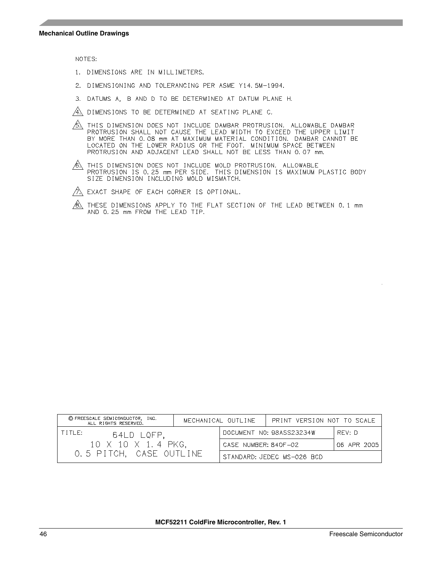NOTES:

- 1. DIMENSIONS ARE IN MILLIMETERS.
- 2. DIMENSIONING AND TOLERANCING PER ASME Y14.5M-1994.
- 3. DATUMS A, B AND D TO BE DETERMINED AT DATUM PLANE H.
- $\overline{A}$ . DIMENSIONS TO BE DETERMINED AT SEATING PLANE C.
- $\overline{\mathcal{B}}$  this dimension does not include dambar protrusion. Allowable dambar PROTRUSION DOES NOT INCLODE DAMBAR PROTROSION. ALLOWABLE DAMBAR<br>PROTRUSION SHALL NOT CAUSE THE LEAD WIDTH TO EXCEED THE UPPER LIMIT<br>BY MORE THAN 0.08 mm AT MAXIMUM MATERIAL CONDITION. DAMBAR CANNOT BE<br>LOCATED ON THE LOWER
- $\overbrace{\mathbb{A}}$  this dimension does not include mold protrusion. Allowable<br>Protrusion is 0.25 mm PER SIDE. This dimension is Maximum plastic body<br>SIZE dimension including mold mismatch.
- $\not\!\!\!\!\nearrow$  EXACT SHAPE OF EACH CORNER IS OPTIONAL.
- $/8$ . THESE DIMENSIONS APPLY TO THE FLAT SECTION OF THE LEAD BETWEEN 0.1 mm AND 0.25 mm FROM THE LEAD TIP.

| © FREESCALE SEMICONDUCTOR, INC.<br>ALL RIGHTS RESERVED. | MECHANICAL OUTLINE                  |                                    | PRINT VERSION NOT TO SCALE |  |
|---------------------------------------------------------|-------------------------------------|------------------------------------|----------------------------|--|
| TITLE:<br>64LD LQFP.                                    |                                     | DOCUMENT NO: 98ASS23234W<br>RFV: D |                            |  |
| 10 X 10 X 1.4 PKG,                                      | CASE NUMBER: 840F-02<br>06 APR 2005 |                                    |                            |  |
| 0.5 PITCH. CASE OUTLINE                                 |                                     |                                    | STANDARD: JEDEC MS-026 BCD |  |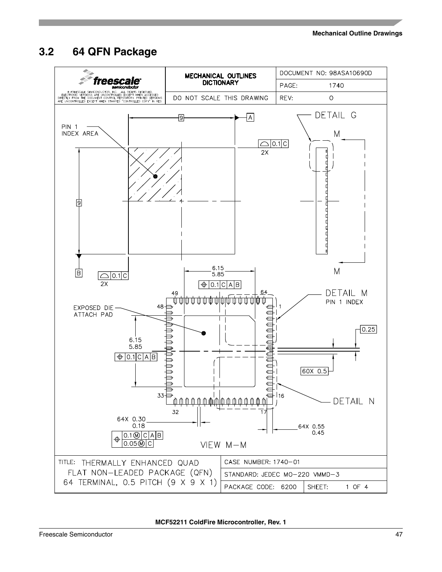# <span id="page-46-0"></span>**3.2 64 QFN Package**

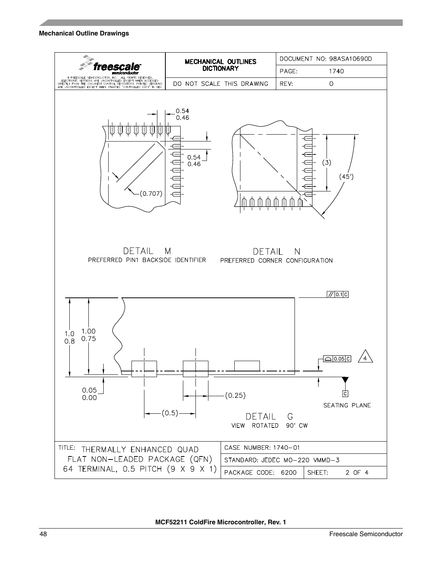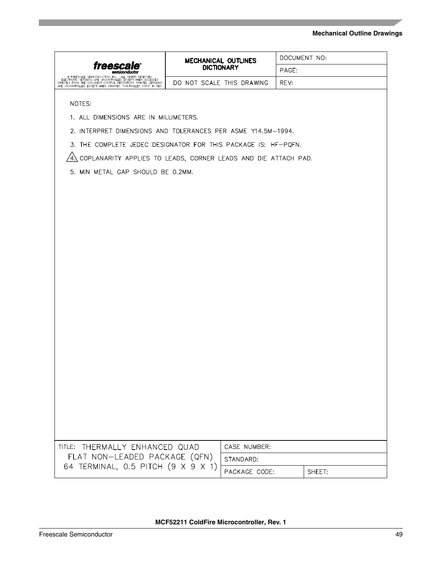| trees                                                                                                                                                                                                                                                | <b>MECHANICAL OUTLINES</b><br><b>DICTIONARY</b> |                           | DOCUMENT NO: |        |  |  |  |  |  |
|------------------------------------------------------------------------------------------------------------------------------------------------------------------------------------------------------------------------------------------------------|-------------------------------------------------|---------------------------|--------------|--------|--|--|--|--|--|
|                                                                                                                                                                                                                                                      |                                                 |                           | PAGE:        |        |  |  |  |  |  |
| FREESCALE SEMICONDUCTOR, INC. ALL RIGHTS RESERVED FLECTRONIC VERSIONS ARE UNCOLLED EXCESSED FLECTRONIC VERSIONS<br>DIRECTLY FROM THE DOCUMENT CONTROL REPOSITORY. PRINTED VERSIONS<br>ARE UNCONTROLLED EXCEPT WHEN STAMPED "CONTROLLED COPY" IN RED. |                                                 | DO NOT SCALE THIS DRAWING | REV:         |        |  |  |  |  |  |
|                                                                                                                                                                                                                                                      |                                                 |                           |              |        |  |  |  |  |  |
| NOTES:                                                                                                                                                                                                                                               |                                                 |                           |              |        |  |  |  |  |  |
| 1. ALL DIMENSIONS ARE IN MILLIMETERS.                                                                                                                                                                                                                |                                                 |                           |              |        |  |  |  |  |  |
| 2. INTERPRET DIMENSIONS AND TOLERANCES PER ASME Y14.5M-1994.                                                                                                                                                                                         |                                                 |                           |              |        |  |  |  |  |  |
| 3. THE COMPLETE JEDEC DESIGNATOR FOR THIS PACKAGE IS: HF-PQFN.                                                                                                                                                                                       |                                                 |                           |              |        |  |  |  |  |  |
| COPLANARITY APPLIES TO LEADS, CORNER LEADS AND DIE ATTACH PAD.<br>$4\lambda$                                                                                                                                                                         |                                                 |                           |              |        |  |  |  |  |  |
| 5. MIN METAL GAP SHOULD BE 0.2MM.                                                                                                                                                                                                                    |                                                 |                           |              |        |  |  |  |  |  |
|                                                                                                                                                                                                                                                      |                                                 |                           |              |        |  |  |  |  |  |
|                                                                                                                                                                                                                                                      |                                                 |                           |              |        |  |  |  |  |  |
|                                                                                                                                                                                                                                                      |                                                 |                           |              |        |  |  |  |  |  |
|                                                                                                                                                                                                                                                      |                                                 |                           |              |        |  |  |  |  |  |
|                                                                                                                                                                                                                                                      |                                                 |                           |              |        |  |  |  |  |  |
|                                                                                                                                                                                                                                                      |                                                 |                           |              |        |  |  |  |  |  |
|                                                                                                                                                                                                                                                      |                                                 |                           |              |        |  |  |  |  |  |
|                                                                                                                                                                                                                                                      |                                                 |                           |              |        |  |  |  |  |  |
|                                                                                                                                                                                                                                                      |                                                 |                           |              |        |  |  |  |  |  |
|                                                                                                                                                                                                                                                      |                                                 |                           |              |        |  |  |  |  |  |
|                                                                                                                                                                                                                                                      |                                                 |                           |              |        |  |  |  |  |  |
|                                                                                                                                                                                                                                                      |                                                 |                           |              |        |  |  |  |  |  |
|                                                                                                                                                                                                                                                      |                                                 |                           |              |        |  |  |  |  |  |
|                                                                                                                                                                                                                                                      |                                                 |                           |              |        |  |  |  |  |  |
|                                                                                                                                                                                                                                                      |                                                 |                           |              |        |  |  |  |  |  |
|                                                                                                                                                                                                                                                      |                                                 |                           |              |        |  |  |  |  |  |
|                                                                                                                                                                                                                                                      |                                                 |                           |              |        |  |  |  |  |  |
|                                                                                                                                                                                                                                                      |                                                 |                           |              |        |  |  |  |  |  |
|                                                                                                                                                                                                                                                      |                                                 |                           |              |        |  |  |  |  |  |
|                                                                                                                                                                                                                                                      |                                                 |                           |              |        |  |  |  |  |  |
|                                                                                                                                                                                                                                                      |                                                 |                           |              |        |  |  |  |  |  |
|                                                                                                                                                                                                                                                      |                                                 |                           |              |        |  |  |  |  |  |
| TITLE: THERMALLY ENHANCED QUAD                                                                                                                                                                                                                       |                                                 | CASE NUMBER:              |              |        |  |  |  |  |  |
| FLAT NON-LEADED PACKAGE (QFN)                                                                                                                                                                                                                        |                                                 | STANDARD:                 |              |        |  |  |  |  |  |
| 64 TERMINAL, 0.5 PITCH (9 X 9 X 1)                                                                                                                                                                                                                   |                                                 | PACKAGE CODE:             |              | SHEET: |  |  |  |  |  |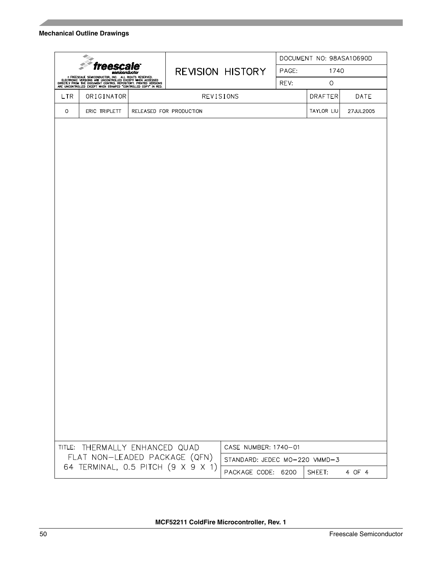| freesca<br>semiconductor<br>FREESCALE SEMICONDUCTOR, INC. ALL RIGHTS RESERVED.<br>ELECTRONIC VERSIONS ARE UNCONTROLLED EXCEPT WHEN ACCESSED<br>DIRECTLY FROM THE DOCUMENT CONTROL REPOSITORY. PRINTED VERSIONS<br>ARE UNCONTROLLED EXCEPT WHEN STAMPED "CONTROLLED |                                | <b>REVISION HISTORY</b> |                         | DOCUMENT NO: 98ASA10690D      |         |            |           |
|--------------------------------------------------------------------------------------------------------------------------------------------------------------------------------------------------------------------------------------------------------------------|--------------------------------|-------------------------|-------------------------|-------------------------------|---------|------------|-----------|
|                                                                                                                                                                                                                                                                    |                                |                         |                         | PAGE:                         | 1740    |            |           |
|                                                                                                                                                                                                                                                                    |                                |                         |                         | REV:                          | $\circ$ |            |           |
| LTR                                                                                                                                                                                                                                                                | ORIGINATOR                     |                         | REVISIONS               |                               |         | DRAFTER    | DATE      |
| O                                                                                                                                                                                                                                                                  | ERIC TRIPLETT                  |                         | RELEASED FOR PRODUCTION |                               |         | TAYLOR LIU | 27JUL2005 |
|                                                                                                                                                                                                                                                                    |                                |                         |                         |                               |         |            |           |
|                                                                                                                                                                                                                                                                    |                                |                         |                         |                               |         |            |           |
|                                                                                                                                                                                                                                                                    |                                |                         |                         |                               |         |            |           |
|                                                                                                                                                                                                                                                                    |                                |                         |                         |                               |         |            |           |
|                                                                                                                                                                                                                                                                    |                                |                         |                         |                               |         |            |           |
|                                                                                                                                                                                                                                                                    |                                |                         |                         |                               |         |            |           |
|                                                                                                                                                                                                                                                                    |                                |                         |                         |                               |         |            |           |
|                                                                                                                                                                                                                                                                    |                                |                         |                         |                               |         |            |           |
|                                                                                                                                                                                                                                                                    |                                |                         |                         |                               |         |            |           |
|                                                                                                                                                                                                                                                                    |                                |                         |                         |                               |         |            |           |
|                                                                                                                                                                                                                                                                    |                                |                         |                         |                               |         |            |           |
|                                                                                                                                                                                                                                                                    |                                |                         |                         |                               |         |            |           |
|                                                                                                                                                                                                                                                                    |                                |                         |                         |                               |         |            |           |
|                                                                                                                                                                                                                                                                    |                                |                         |                         |                               |         |            |           |
|                                                                                                                                                                                                                                                                    |                                |                         |                         |                               |         |            |           |
|                                                                                                                                                                                                                                                                    |                                |                         |                         |                               |         |            |           |
|                                                                                                                                                                                                                                                                    |                                |                         |                         |                               |         |            |           |
|                                                                                                                                                                                                                                                                    |                                |                         |                         |                               |         |            |           |
|                                                                                                                                                                                                                                                                    |                                |                         |                         |                               |         |            |           |
|                                                                                                                                                                                                                                                                    |                                |                         |                         |                               |         |            |           |
|                                                                                                                                                                                                                                                                    |                                |                         |                         |                               |         |            |           |
|                                                                                                                                                                                                                                                                    |                                |                         |                         |                               |         |            |           |
|                                                                                                                                                                                                                                                                    |                                |                         |                         |                               |         |            |           |
|                                                                                                                                                                                                                                                                    |                                |                         |                         |                               |         |            |           |
|                                                                                                                                                                                                                                                                    |                                |                         |                         |                               |         |            |           |
|                                                                                                                                                                                                                                                                    | TITLE: THERMALLY ENHANCED QUAD |                         |                         | CASE NUMBER: 1740-01          |         |            |           |
|                                                                                                                                                                                                                                                                    | FLAT NON-LEADED PACKAGE (QFN)  |                         |                         | STANDARD: JEDEC MO-220 VMMD-3 |         |            |           |
| 64 TERMINAL, 0.5 PITCH (9 X 9 X 1)                                                                                                                                                                                                                                 |                                |                         | PACKAGE CODE: 6200      |                               | SHEET:  | 4 OF 4     |           |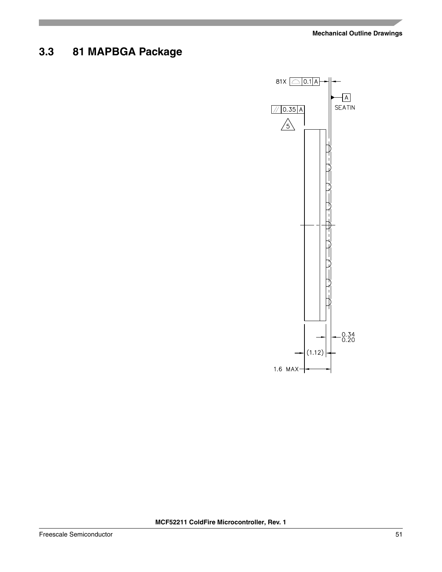# <span id="page-50-0"></span>**3.3 81 MAPBGA Package**

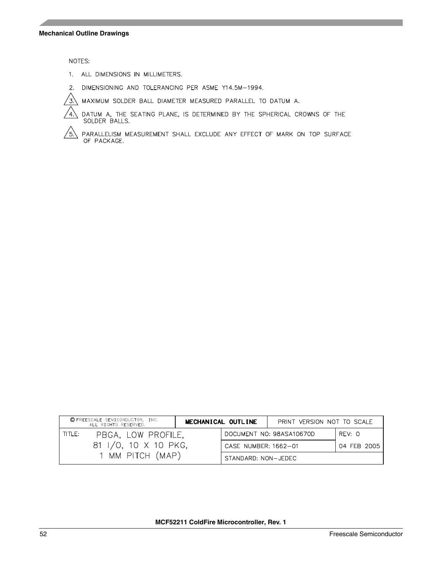NOTES:

- 1. ALL DIMENSIONS IN MILLIMETERS.
- 2. DIMENSIONING AND TOLERANCING PER ASME Y14.5M-1994.
- $\sqrt{3}$ MAXIMUM SOLDER BALL DIAMETER MEASURED PARALLEL TO DATUM A.



PARALLELISM MEASUREMENT SHALL EXCLUDE ANY EFFECT OF MARK ON TOP SURFACE OF PACKAGE. /5.

| © FREESCALE SEMICONDUCTOR, INC.<br>ALL RIGHTS RESERVED. | MECHANICAL OUTLINE   | PRINT VERSION NOT TO SCALE |             |
|---------------------------------------------------------|----------------------|----------------------------|-------------|
| TITLE:<br>PBGA, LOW PROFILE,                            |                      | DOCUMENT NO: 98ASA10670D   | REV: O      |
| 81 I/O, 10 X 10 PKG,                                    | CASE NUMBER: 1662-01 |                            | 04 FEB 2005 |
| 1 MM PITCH (MAP)                                        | STANDARD: NON-JEDEC  |                            |             |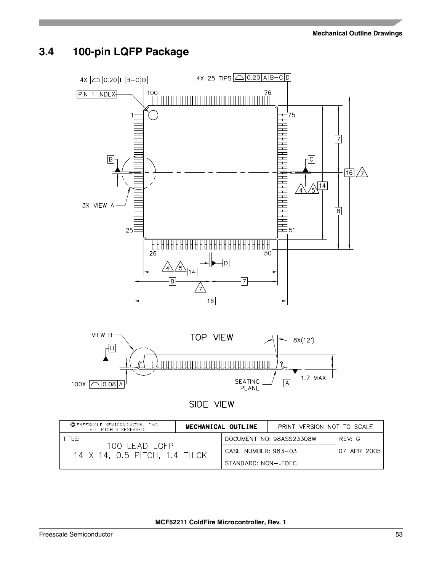# <span id="page-52-0"></span>**3.4 100-pin LQFP Package**



| © FREESCALE SEMICONDUCTOR, INC.<br>ALL RIGHTS RESERVED. | MECHANICAL OUTLINE |                     | PRINT VERSION NOT TO SCALE |             |
|---------------------------------------------------------|--------------------|---------------------|----------------------------|-------------|
| TITLE:                                                  |                    |                     | DOCUMENT NO: 98ASS23308W   | RFV: G      |
| 100 LEAD LQFP<br>14 X 14, 0.5 PITCH, 1.4 THICK          |                    | CASE NUMBER: 983-03 |                            | 07 APR 2005 |
|                                                         |                    | STANDARD: NON-JEDEC |                            |             |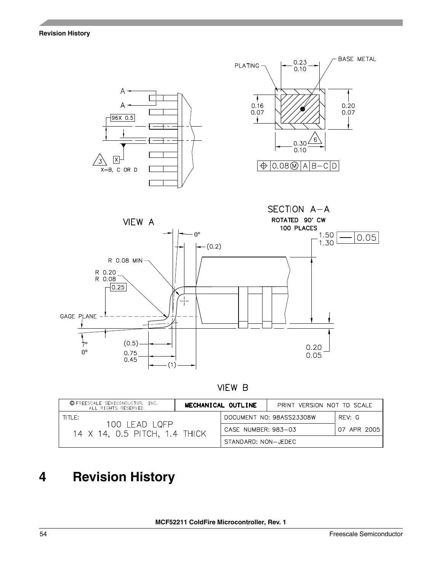**Revision History**



VIEW B

| C FREESCALE SEMICONDUCTOR, INC.<br>ALL RIGHTS RESERVED. |  | MECHANICAL OUTLINE  | PRINT VERSION NOT TO SCALE |             |
|---------------------------------------------------------|--|---------------------|----------------------------|-------------|
| $THF$ :                                                 |  |                     | DOCUMENT NO: 98ASS23308W   | RFV: G      |
| 100 LEAD LQFP<br>14 X 14, 0.5 PITCH, 1.4 THICK          |  | CASE NUMBER: 983-03 |                            | 07 APR 2005 |
|                                                         |  | STANDARD: NON-JEDEC |                            |             |

# <span id="page-53-0"></span>**4 Revision History**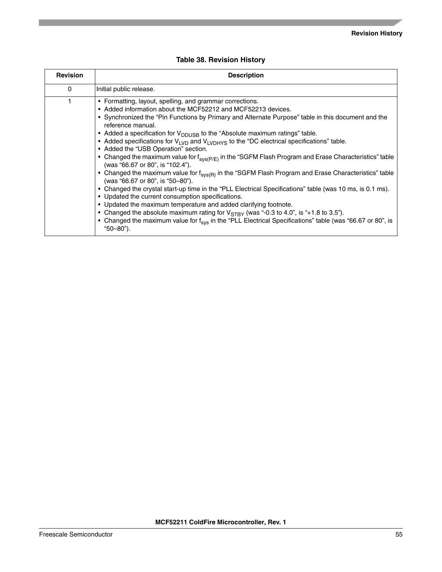<span id="page-54-0"></span>

| <b>Revision</b> | <b>Description</b>                                                                                                                                                                                                                                                                                                                                                                                                                                                                                                                                                                                                                                                                                                                                                                                                                                                                                                                                                                                                                                                                                                                                                                                                                                                             |
|-----------------|--------------------------------------------------------------------------------------------------------------------------------------------------------------------------------------------------------------------------------------------------------------------------------------------------------------------------------------------------------------------------------------------------------------------------------------------------------------------------------------------------------------------------------------------------------------------------------------------------------------------------------------------------------------------------------------------------------------------------------------------------------------------------------------------------------------------------------------------------------------------------------------------------------------------------------------------------------------------------------------------------------------------------------------------------------------------------------------------------------------------------------------------------------------------------------------------------------------------------------------------------------------------------------|
| 0               | Initial public release.                                                                                                                                                                                                                                                                                                                                                                                                                                                                                                                                                                                                                                                                                                                                                                                                                                                                                                                                                                                                                                                                                                                                                                                                                                                        |
|                 | • Formatting, layout, spelling, and grammar corrections.<br>• Added information about the MCF52212 and MCF52213 devices.<br>• Synchronized the "Pin Functions by Primary and Alternate Purpose" table in this document and the<br>reference manual.<br>• Added a specification for $V_{\text{DDUSB}}$ to the "Absolute maximum ratings" table.<br>• Added specifications for $V_{LVD}$ and $V_{LVDHYS}$ to the "DC electrical specifications" table.<br>• Added the "USB Operation" section.<br>• Changed the maximum value for $f_{svs(P/E)}$ in the "SGFM Flash Program and Erase Characteristics" table<br>(was "66.67 or 80", is "102.4").<br>• Changed the maximum value for f <sub>sys(R)</sub> in the "SGFM Flash Program and Erase Characteristics" table<br>(was "66.67 or 80", is "50-80").<br>• Changed the crystal start-up time in the "PLL Electrical Specifications" table (was 10 ms, is 0.1 ms).<br>• Updated the current consumption specifications.<br>• Updated the maximum temperature and added clarifying footnote.<br>• Changed the absolute maximum rating for $V_{STBY}$ (was "-0.3 to 4.0", is "+1.8 to 3.5").<br>• Changed the maximum value for f <sub>sys</sub> in the "PLL Electrical Specifications" table (was "66.67 or 80", is<br>"50-80"). |

### **Table 38. Revision History**